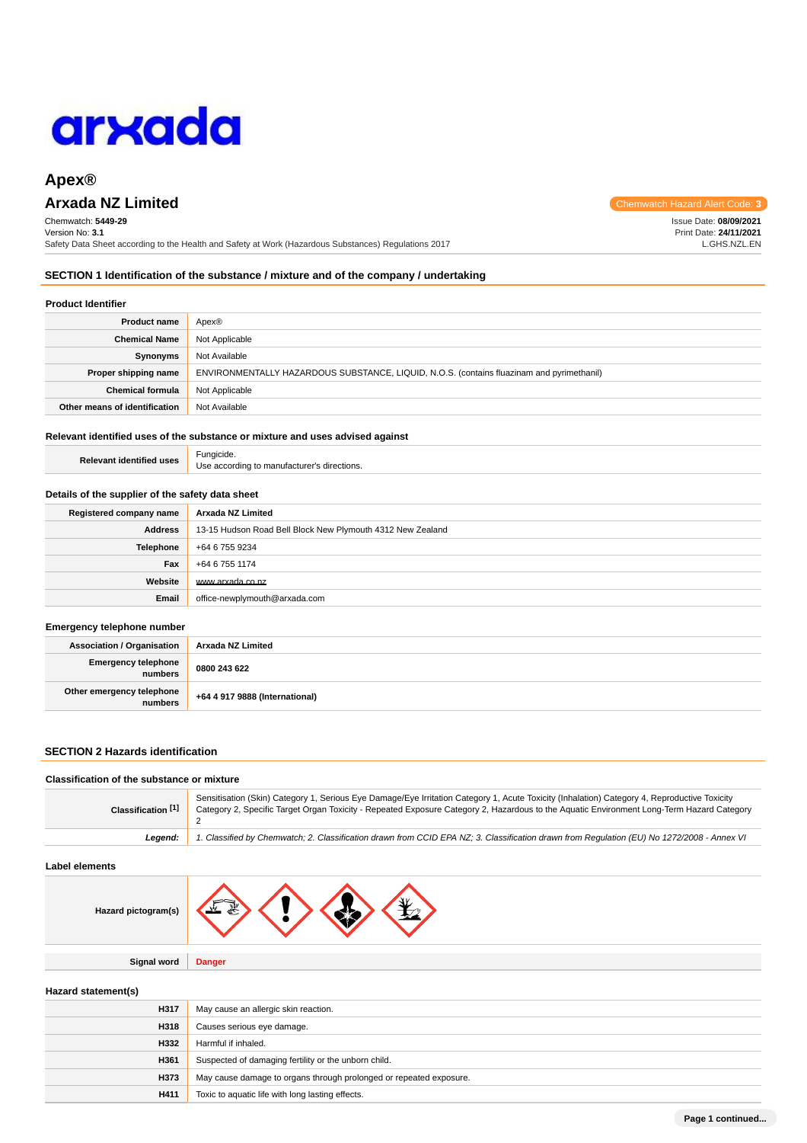# arxada

# **Apex®**

# **Arxada NZ Limited Chemwatch Hazard Alert Code: 3** and 3 and 3 and 3 and 3 and 3 and 3 and 3 and 3 and 3 and 3 and 3 and 3 and 3 and 3 and 3 and 3 and 3 and 3 and 3 and 3 and 3 and 3 and 3 and 3 and 3 and 3 and 3 and 3 a

Chemwatch: **5449-29** Version No: **3.1** Safety Data Sheet according to the Health and Safety at Work (Hazardous Substances) Regulations 2017

**SECTION 1 Identification of the substance / mixture and of the company / undertaking**

# **Product Identifier**

| <b>Product name</b>           | Apex®                                                                                     |
|-------------------------------|-------------------------------------------------------------------------------------------|
| <b>Chemical Name</b>          | Not Applicable                                                                            |
| Synonyms                      | Not Available                                                                             |
| Proper shipping name          | ENVIRONMENTALLY HAZARDOUS SUBSTANCE, LIQUID, N.O.S. (contains fluazinam and pyrimethanil) |
| <b>Chemical formula</b>       | Not Applicable                                                                            |
| Other means of identification | Not Available                                                                             |

# **Relevant identified uses of the substance or mixture and uses advised against**

**Relevant identified uses** Fungicide. Use according to manufacturer's directions.

## **Details of the supplier of the safety data sheet**

| Registered company name | Arxada NZ Limited                                          |
|-------------------------|------------------------------------------------------------|
| <b>Address</b>          | 13-15 Hudson Road Bell Block New Plymouth 4312 New Zealand |
| <b>Telephone</b>        | +64 6 755 9234                                             |
| Fax                     | +64 6 755 1174                                             |
| Website                 | www.arxada.co.nz                                           |
| Email                   | office-newplymouth@arxada.com                              |

## **Emergency telephone number**

| <b>Association / Organisation</b>    | Arxada NZ Limited              |
|--------------------------------------|--------------------------------|
| Emergency telephone<br>numbers       | 0800 243 622                   |
| Other emergency telephone<br>numbers | +64 4 917 9888 (International) |

# **SECTION 2 Hazards identification**

### **Classification of the substance or mixture Classification [1]** Sensitisation (Skin) Category 1, Serious Eye Damage/Eye Irritation Category 1, Acute Toxicity (Inhalation) Category 4, Reproductive Toxicity Category 2, Specific Target Organ Toxicity - Repeated Exposure Category 2, Hazardous to the Aquatic Environment Long-Term Hazard Category 2 **Legend:** 1. Classified by Chemwatch; 2. Classification drawn from CCID EPA NZ; 3. Classification drawn from Regulation (EU) No 1272/2008 - Annex VI

## **Label elements**

| Hazard pictogram(s) |  |  |  |  |
|---------------------|--|--|--|--|
|---------------------|--|--|--|--|

**Signal word Danger**

# **Hazard statement(s)**

| H317 | May cause an allergic skin reaction.                               |
|------|--------------------------------------------------------------------|
| H318 | Causes serious eye damage.                                         |
| H332 | Harmful if inhaled.                                                |
| H361 | Suspected of damaging fertility or the unborn child.               |
| H373 | May cause damage to organs through prolonged or repeated exposure. |
| H411 | Toxic to aquatic life with long lasting effects.                   |

Issue Date: **08/09/2021**

Print Date: **24/11/2021** L.GHS.NZL.EN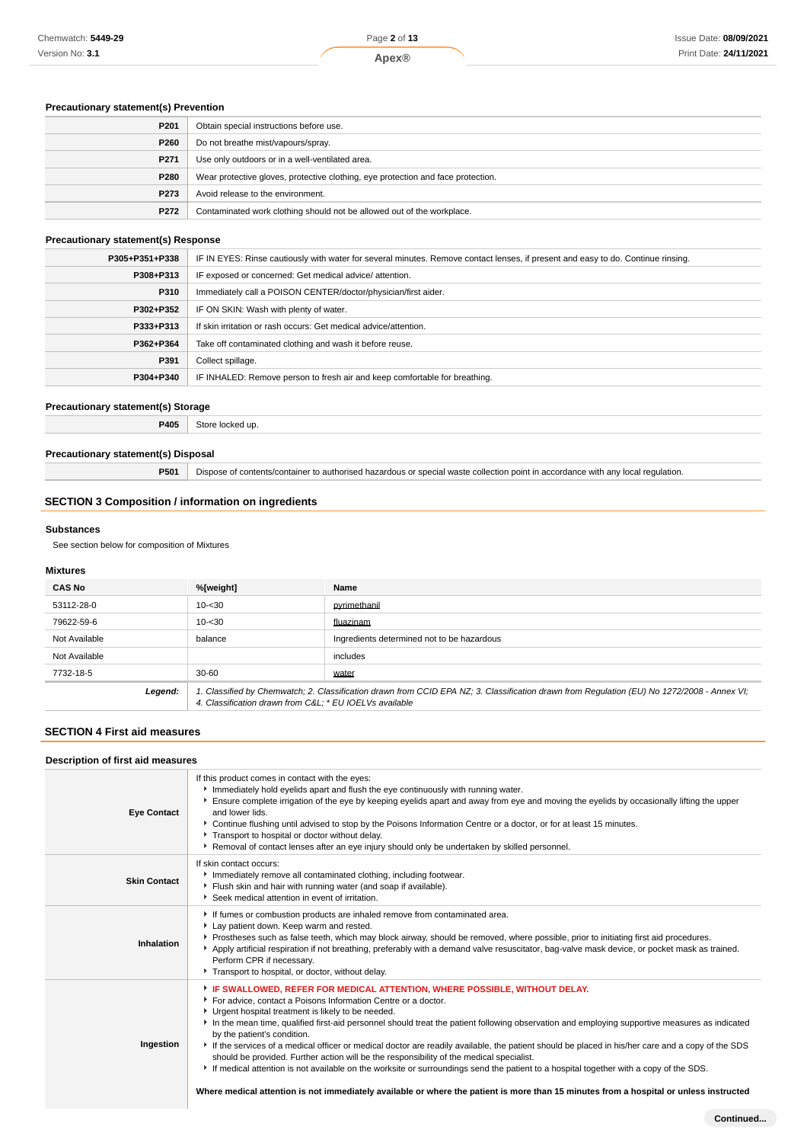# Issue Date: **08/09/2021** Print Date: **24/11/2021**

# **Precautionary statement(s) Prevention**

| P <sub>201</sub> | Obtain special instructions before use.                                          |
|------------------|----------------------------------------------------------------------------------|
| P260             | Do not breathe mist/vapours/spray.                                               |
| P271             | Use only outdoors or in a well-ventilated area.                                  |
| P280             | Wear protective gloves, protective clothing, eye protection and face protection. |
| P273             | Avoid release to the environment.                                                |
| P272             | Contaminated work clothing should not be allowed out of the workplace.           |

## **Precautionary statement(s) Response**

| P305+P351+P338 | IF IN EYES: Rinse cautiously with water for several minutes. Remove contact lenses, if present and easy to do. Continue rinsing. |
|----------------|----------------------------------------------------------------------------------------------------------------------------------|
| P308+P313      | IF exposed or concerned: Get medical advice/attention.                                                                           |
| P310           | Immediately call a POISON CENTER/doctor/physician/first aider.                                                                   |
| P302+P352      | IF ON SKIN: Wash with plenty of water.                                                                                           |
| P333+P313      | If skin irritation or rash occurs: Get medical advice/attention.                                                                 |
| P362+P364      | Take off contaminated clothing and wash it before reuse.                                                                         |
| P391           | Collect spillage.                                                                                                                |
| P304+P340      | IF INHALED: Remove person to fresh air and keep comfortable for breathing.                                                       |

# **Precautionary statement(s) Storage**

**P405** Store locked up.

# **Precautionary statement(s) Disposal**

**P501** Dispose of contents/container to authorised hazardous or special waste collection point in accordance with any local regulation.

# **SECTION 3 Composition / information on ingredients**

## **Substances**

See section below for composition of Mixtures

## **Mixtures**

| <b>CAS No</b> | %[weight]                                              | Name                                                                                                                                        |
|---------------|--------------------------------------------------------|---------------------------------------------------------------------------------------------------------------------------------------------|
| 53112-28-0    | $10 - 30$                                              | pyrimethanil                                                                                                                                |
| 79622-59-6    | $10 - 30$                                              | fluazinam                                                                                                                                   |
| Not Available | balance                                                | Ingredients determined not to be hazardous                                                                                                  |
| Not Available |                                                        | includes                                                                                                                                    |
| 7732-18-5     | $30 - 60$                                              | water                                                                                                                                       |
| Legend:       | 4. Classification drawn from C&L * EU IOELVs available | 1. Classified by Chemwatch; 2. Classification drawn from CCID EPA NZ; 3. Classification drawn from Regulation (EU) No 1272/2008 - Annex VI; |

## **SECTION 4 First aid measures**

| Description of first aid measures |                                                                                                                                                                                                                                                                                                                                                                                                                                                                                                                                                                                                                                                                                                                                                                                                                                                                                                                     |  |
|-----------------------------------|---------------------------------------------------------------------------------------------------------------------------------------------------------------------------------------------------------------------------------------------------------------------------------------------------------------------------------------------------------------------------------------------------------------------------------------------------------------------------------------------------------------------------------------------------------------------------------------------------------------------------------------------------------------------------------------------------------------------------------------------------------------------------------------------------------------------------------------------------------------------------------------------------------------------|--|
| <b>Eye Contact</b>                | If this product comes in contact with the eyes:<br>Immediately hold eyelids apart and flush the eye continuously with running water.<br>Ensure complete irrigation of the eye by keeping eyelids apart and away from eye and moving the eyelids by occasionally lifting the upper<br>and lower lids.<br>► Continue flushing until advised to stop by the Poisons Information Centre or a doctor, or for at least 15 minutes.<br>Transport to hospital or doctor without delay.<br>Removal of contact lenses after an eye injury should only be undertaken by skilled personnel.                                                                                                                                                                                                                                                                                                                                     |  |
| <b>Skin Contact</b>               | If skin contact occurs:<br>Immediately remove all contaminated clothing, including footwear.<br>Flush skin and hair with running water (and soap if available).<br>Seek medical attention in event of irritation.                                                                                                                                                                                                                                                                                                                                                                                                                                                                                                                                                                                                                                                                                                   |  |
| Inhalation                        | If fumes or combustion products are inhaled remove from contaminated area.<br>Lay patient down. Keep warm and rested.<br>Prostheses such as false teeth, which may block airway, should be removed, where possible, prior to initiating first aid procedures.<br>Apply artificial respiration if not breathing, preferably with a demand valve resuscitator, bag-valve mask device, or pocket mask as trained.<br>Perform CPR if necessary.<br>Transport to hospital, or doctor, without delay.                                                                                                                                                                                                                                                                                                                                                                                                                     |  |
| Ingestion                         | FIF SWALLOWED, REFER FOR MEDICAL ATTENTION, WHERE POSSIBLE, WITHOUT DELAY.<br>For advice, contact a Poisons Information Centre or a doctor.<br>Urgent hospital treatment is likely to be needed.<br>In the mean time, qualified first-aid personnel should treat the patient following observation and employing supportive measures as indicated<br>by the patient's condition.<br>If the services of a medical officer or medical doctor are readily available, the patient should be placed in his/her care and a copy of the SDS<br>should be provided. Further action will be the responsibility of the medical specialist.<br>If medical attention is not available on the worksite or surroundings send the patient to a hospital together with a copy of the SDS.<br>Where medical attention is not immediately available or where the patient is more than 15 minutes from a hospital or unless instructed |  |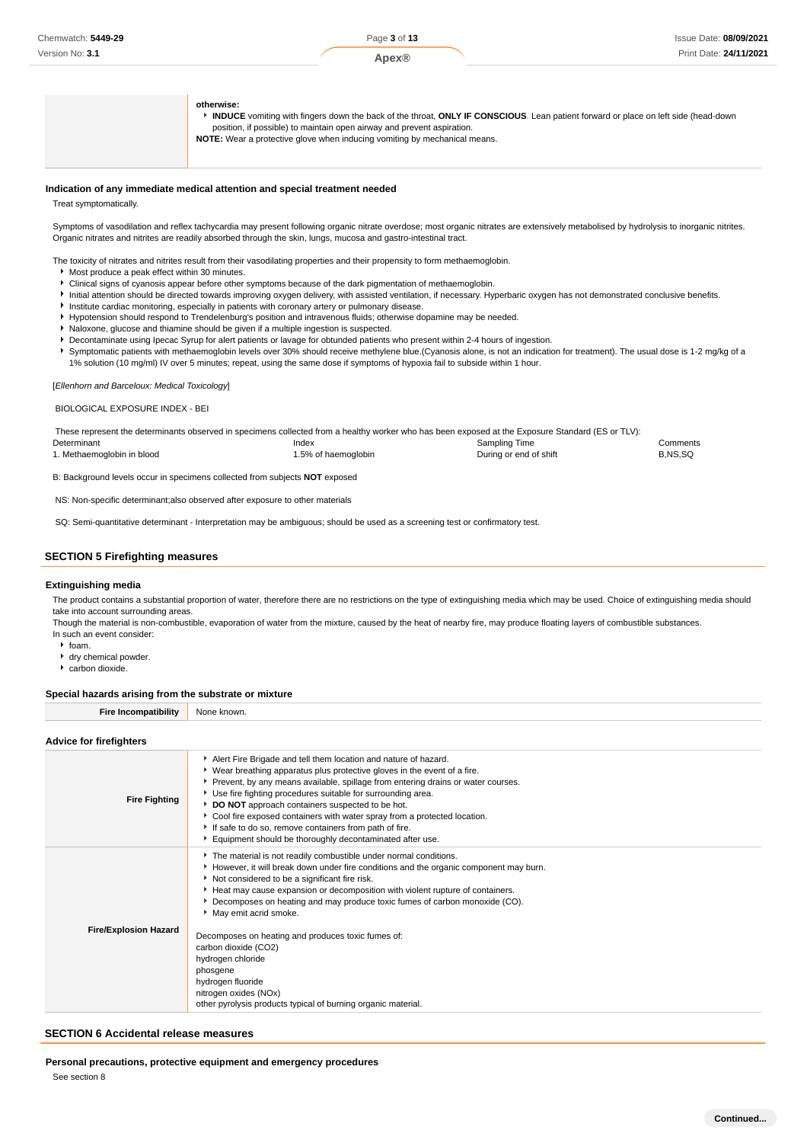#### **Apex®**

## **otherwise:**

**INDUCE** vomiting with fingers down the back of the throat, **ONLY IF CONSCIOUS**. Lean patient forward or place on left side (head-down position, if possible) to maintain open airway and prevent aspiration. **NOTE:** Wear a protective glove when inducing vomiting by mechanical means.

**Indication of any immediate medical attention and special treatment needed**

Treat symptomatically.

Symptoms of vasodilation and reflex tachycardia may present following organic nitrate overdose; most organic nitrates are extensively metabolised by hydrolysis to inorganic nitrites. Organic nitrates and nitrites are readily absorbed through the skin, lungs, mucosa and gastro-intestinal tract.

The toxicity of nitrates and nitrites result from their vasodilating properties and their propensity to form methaemoglobin.

- Most produce a peak effect within 30 minutes.
- Clinical signs of cyanosis appear before other symptoms because of the dark pigmentation of methaemoglobin.
- Initial attention should be directed towards improving oxygen delivery, with assisted ventilation, if necessary. Hyperbaric oxygen has not demonstrated conclusive benefits.
- **Institute cardiac monitoring, especially in patients with coronary artery or pulmonary disease.**
- Hypotension should respond to Trendelenburg's position and intravenous fluids; otherwise dopamine may be needed.
- $\blacktriangleright$  Naloxone, glucose and thiamine should be given if a multiple ingestion is suspected.
- Decontaminate using Ipecac Syrup for alert patients or lavage for obtunded patients who present within 2-4 hours of ingestion.
- Symptomatic patients with methaemoglobin levels over 30% should receive methylene blue.(Cyanosis alone, is not an indication for treatment). The usual dose is 1-2 mg/kg of a 1% solution (10 mg/ml) IV over 5 minutes; repeat, using the same dose if symptoms of hypoxia fail to subside within 1 hour.

[Ellenhorn and Barceloux: Medical Toxicology]

BIOLOGICAL EXPOSURE INDEX - BEI

| These represent the determinants observed in specimens collected from a healthy worker who has been exposed at the Exposure Standard (ES or TLV): |                     |                        |          |
|---------------------------------------------------------------------------------------------------------------------------------------------------|---------------------|------------------------|----------|
| Determinant                                                                                                                                       | Index               | Sampling Time          | Comments |
| 1. Methaemoglobin in blood                                                                                                                        | 1.5% of haemoglobin | During or end of shift | B.NS.SQ  |
|                                                                                                                                                   |                     |                        |          |

B: Background levels occur in specimens collected from subjects **NOT** exposed

NS: Non-specific determinant;also observed after exposure to other materials

SQ: Semi-quantitative determinant - Interpretation may be ambiguous; should be used as a screening test or confirmatory test.

## **SECTION 5 Firefighting measures**

#### **Extinguishing media**

The product contains a substantial proportion of water, therefore there are no restrictions on the type of extinguishing media which may be used. Choice of extinguishing media should take into account surrounding areas.

Though the material is non-combustible, evaporation of water from the mixture, caused by the heat of nearby fire, may produce floating layers of combustible substances. In such an event consider:

- $h$  foam.
- dry chemical powder.
- carbon dioxide.

## **Special hazards arising from the substrate or mixture**

| -<br><b>finilit</b> y<br>$-1$ . The state $-1$ | N∩n<br>nwr |
|------------------------------------------------|------------|
|                                                |            |

## **Advice for firefighters**

| <b>Fire Fighting</b>         | Alert Fire Brigade and tell them location and nature of hazard.<br>▶ Wear breathing apparatus plus protective gloves in the event of a fire.<br>▶ Prevent, by any means available, spillage from entering drains or water courses.<br>Use fire fighting procedures suitable for surrounding area.<br>DO NOT approach containers suspected to be hot.<br>Cool fire exposed containers with water spray from a protected location.<br>If safe to do so, remove containers from path of fire.<br>Equipment should be thoroughly decontaminated after use.                                                                               |
|------------------------------|--------------------------------------------------------------------------------------------------------------------------------------------------------------------------------------------------------------------------------------------------------------------------------------------------------------------------------------------------------------------------------------------------------------------------------------------------------------------------------------------------------------------------------------------------------------------------------------------------------------------------------------|
| <b>Fire/Explosion Hazard</b> | The material is not readily combustible under normal conditions.<br>► However, it will break down under fire conditions and the organic component may burn.<br>Not considered to be a significant fire risk.<br>Heat may cause expansion or decomposition with violent rupture of containers.<br>▶ Decomposes on heating and may produce toxic fumes of carbon monoxide (CO).<br>May emit acrid smoke.<br>Decomposes on heating and produces toxic fumes of:<br>carbon dioxide (CO2)<br>hydrogen chloride<br>phosgene<br>hydrogen fluoride<br>nitrogen oxides (NOx)<br>other pyrolysis products typical of burning organic material. |

#### **SECTION 6 Accidental release measures**

**Personal precautions, protective equipment and emergency procedures**

See section 8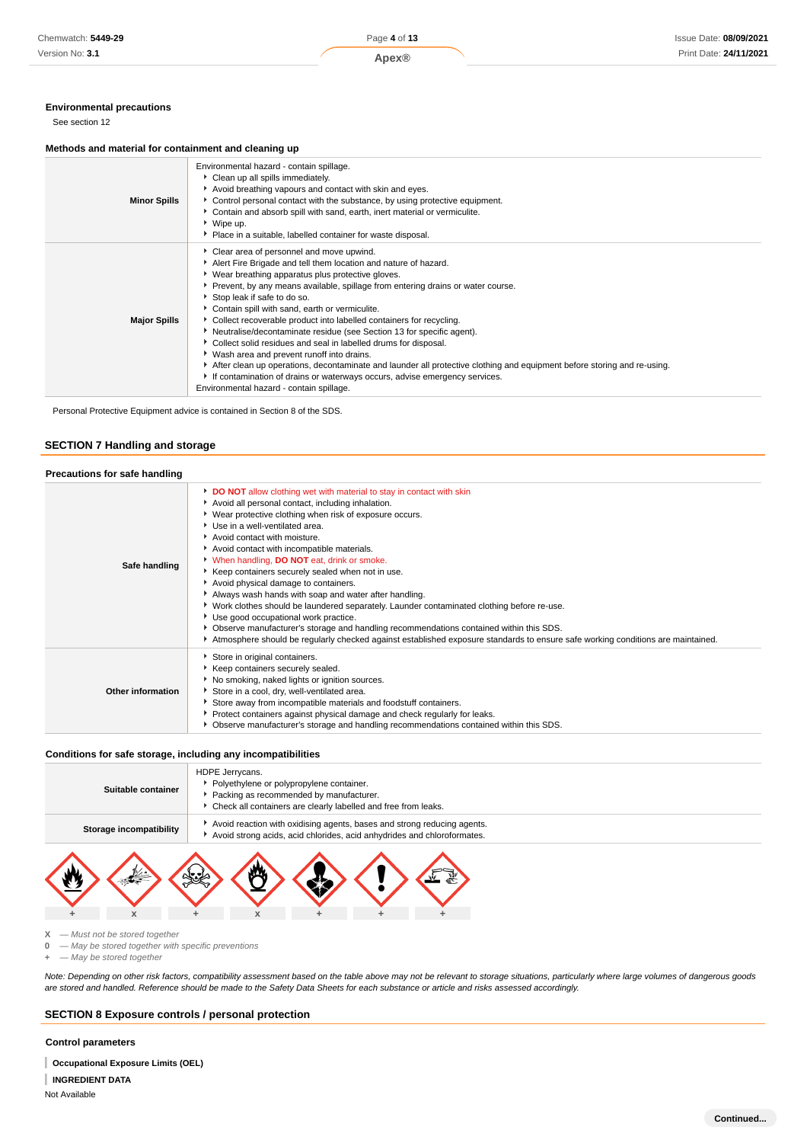## **Environmental precautions**

See section 12

#### **Methods and material for containment and cleaning up**

| <b>Minor Spills</b> | Environmental hazard - contain spillage.<br>Clean up all spills immediately.<br>Avoid breathing vapours and contact with skin and eyes.<br>► Control personal contact with the substance, by using protective equipment.<br>• Contain and absorb spill with sand, earth, inert material or vermiculite.<br>▶ Wipe up.<br>• Place in a suitable, labelled container for waste disposal.                                                                                                                                                                                                                                                                                                                                                                                                                                                                           |
|---------------------|------------------------------------------------------------------------------------------------------------------------------------------------------------------------------------------------------------------------------------------------------------------------------------------------------------------------------------------------------------------------------------------------------------------------------------------------------------------------------------------------------------------------------------------------------------------------------------------------------------------------------------------------------------------------------------------------------------------------------------------------------------------------------------------------------------------------------------------------------------------|
| <b>Major Spills</b> | Clear area of personnel and move upwind.<br>Alert Fire Brigade and tell them location and nature of hazard.<br>▶ Wear breathing apparatus plus protective gloves.<br>▶ Prevent, by any means available, spillage from entering drains or water course.<br>Stop leak if safe to do so.<br>Contain spill with sand, earth or vermiculite.<br>• Collect recoverable product into labelled containers for recycling.<br>Neutralise/decontaminate residue (see Section 13 for specific agent).<br>Collect solid residues and seal in labelled drums for disposal.<br>▶ Wash area and prevent runoff into drains.<br>After clean up operations, decontaminate and launder all protective clothing and equipment before storing and re-using.<br>If contamination of drains or waterways occurs, advise emergency services.<br>Environmental hazard - contain spillage. |

Personal Protective Equipment advice is contained in Section 8 of the SDS.

## **SECTION 7 Handling and storage**

| Precautions for safe handling |                                                                                                                                                                                                                                                                                                                                                                                                                                                                                                                                                                                                                                                                                                                                                                                                                                                                                |
|-------------------------------|--------------------------------------------------------------------------------------------------------------------------------------------------------------------------------------------------------------------------------------------------------------------------------------------------------------------------------------------------------------------------------------------------------------------------------------------------------------------------------------------------------------------------------------------------------------------------------------------------------------------------------------------------------------------------------------------------------------------------------------------------------------------------------------------------------------------------------------------------------------------------------|
| Safe handling                 | DO NOT allow clothing wet with material to stay in contact with skin<br>Avoid all personal contact, including inhalation.<br>▶ Wear protective clothing when risk of exposure occurs.<br>Use in a well-ventilated area.<br>Avoid contact with moisture.<br>Avoid contact with incompatible materials.<br>When handling, DO NOT eat, drink or smoke.<br>Keep containers securely sealed when not in use.<br>Avoid physical damage to containers.<br>Always wash hands with soap and water after handling.<br>▶ Work clothes should be laundered separately. Launder contaminated clothing before re-use.<br>Use good occupational work practice.<br>▶ Observe manufacturer's storage and handling recommendations contained within this SDS.<br>Atmosphere should be regularly checked against established exposure standards to ensure safe working conditions are maintained. |
| Other information             | Store in original containers.<br>Keep containers securely sealed.<br>No smoking, naked lights or ignition sources.<br>Store in a cool, dry, well-ventilated area.<br>Store away from incompatible materials and foodstuff containers.<br>▶ Protect containers against physical damage and check regularly for leaks.<br>• Observe manufacturer's storage and handling recommendations contained within this SDS.                                                                                                                                                                                                                                                                                                                                                                                                                                                               |

## **Conditions for safe storage, including any incompatibilities**

| Suitable container      | HDPE Jerrycans.<br>• Polyethylene or polypropylene container.<br>Packing as recommended by manufacturer.<br>• Check all containers are clearly labelled and free from leaks. |
|-------------------------|------------------------------------------------------------------------------------------------------------------------------------------------------------------------------|
| Storage incompatibility | Avoid reaction with oxidising agents, bases and strong reducing agents.<br>Avoid strong acids, acid chlorides, acid anhydrides and chloroformates.                           |
| $\frac{1}{2}$           |                                                                                                                                                                              |

 $X - M$ ust not be stored together<br>**0** — May be stored together with **20 May be stored together with specific preventions** 

**+** — May be stored together

Note: Depending on other risk factors, compatibility assessment based on the table above may not be relevant to storage situations, particularly where large volumes of dangerous goods are stored and handled. Reference should be made to the Safety Data Sheets for each substance or article and risks assessed accordingly.

# **SECTION 8 Exposure controls / personal protection**

**+ x + x + + +**

**Control parameters**

**Occupational Exposure Limits (OEL)**

**INGREDIENT DATA**

Not Available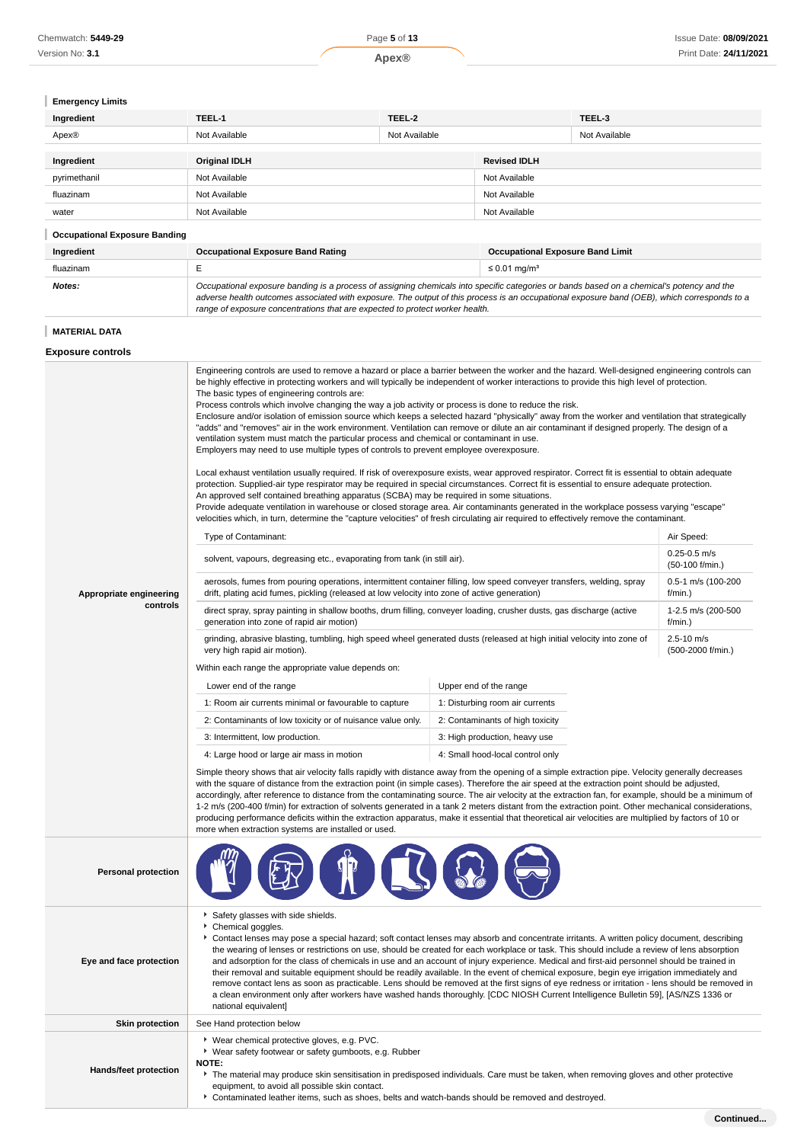| Chemwatch: 5449-29 | Page 5 of 13 | Issue Date: 08/09/2021 |
|--------------------|--------------|------------------------|
| Version No: 3.1    | <b>pex®</b>  | Print Date: 24/11/2021 |

# **Emergency Limits**

| Ingredient   | TEEL-1               | TEEL-2        |                     | TEEL-3        |
|--------------|----------------------|---------------|---------------------|---------------|
| Apex®        | Not Available        | Not Available |                     | Not Available |
|              |                      |               |                     |               |
| Ingredient   | <b>Original IDLH</b> |               | <b>Revised IDLH</b> |               |
| pyrimethanil | Not Available        |               | Not Available       |               |
| fluazinam    | Not Available        |               | Not Available       |               |
| water        | Not Available        |               | Not Available       |               |
|              |                      |               |                     |               |

# **Occupational Exposure Banding**

| Ingredient | <b>Occupational Exposure Band Rating</b>                                                                                                                                                                                                                                                                                                                                 | <b>Occupational Exposure Band Limit</b> |
|------------|--------------------------------------------------------------------------------------------------------------------------------------------------------------------------------------------------------------------------------------------------------------------------------------------------------------------------------------------------------------------------|-----------------------------------------|
| fluazinam  |                                                                                                                                                                                                                                                                                                                                                                          | $\leq 0.01$ ma/m <sup>3</sup>           |
| Notes:     | Occupational exposure banding is a process of assigning chemicals into specific categories or bands based on a chemical's potency and the<br>adverse health outcomes associated with exposure. The output of this process is an occupational exposure band (OEB), which corresponds to a<br>range of exposure concentrations that are expected to protect worker health. |                                         |

# **MATERIAL DATA**

| <b>Exposure controls</b> |  |
|--------------------------|--|
|--------------------------|--|

| Appropriate engineering<br>controls | Engineering controls are used to remove a hazard or place a barrier between the worker and the hazard. Well-designed engineering controls can<br>be highly effective in protecting workers and will typically be independent of worker interactions to provide this high level of protection.<br>The basic types of engineering controls are:<br>Process controls which involve changing the way a job activity or process is done to reduce the risk.<br>Enclosure and/or isolation of emission source which keeps a selected hazard "physically" away from the worker and ventilation that strategically<br>"adds" and "removes" air in the work environment. Ventilation can remove or dilute an air contaminant if designed properly. The design of a<br>ventilation system must match the particular process and chemical or contaminant in use.<br>Employers may need to use multiple types of controls to prevent employee overexposure.<br>Local exhaust ventilation usually required. If risk of overexposure exists, wear approved respirator. Correct fit is essential to obtain adequate<br>protection. Supplied-air type respirator may be required in special circumstances. Correct fit is essential to ensure adequate protection.<br>An approved self contained breathing apparatus (SCBA) may be required in some situations.<br>Provide adequate ventilation in warehouse or closed storage area. Air contaminants generated in the workplace possess varying "escape"<br>velocities which, in turn, determine the "capture velocities" of fresh circulating air required to effectively remove the contaminant.<br>Type of Contaminant:<br>solvent, vapours, degreasing etc., evaporating from tank (in still air).<br>aerosols, fumes from pouring operations, intermittent container filling, low speed conveyer transfers, welding, spray<br>drift, plating acid fumes, pickling (released at low velocity into zone of active generation)<br>direct spray, spray painting in shallow booths, drum filling, conveyer loading, crusher dusts, gas discharge (active<br>generation into zone of rapid air motion)<br>grinding, abrasive blasting, tumbling, high speed wheel generated dusts (released at high initial velocity into zone of<br>very high rapid air motion).<br>Within each range the appropriate value depends on:<br>Lower end of the range<br>1: Room air currents minimal or favourable to capture<br>2: Contaminants of low toxicity or of nuisance value only.<br>3: Intermittent, low production.<br>4: Large hood or large air mass in motion<br>Simple theory shows that air velocity falls rapidly with distance away from the opening of a simple extraction pipe. Velocity generally decreases<br>with the square of distance from the extraction point (in simple cases). Therefore the air speed at the extraction point should be adjusted,<br>accordingly, after reference to distance from the contaminating source. The air velocity at the extraction fan, for example, should be a minimum of<br>1-2 m/s (200-400 f/min) for extraction of solvents generated in a tank 2 meters distant from the extraction point. Other mechanical considerations,<br>producing performance deficits within the extraction apparatus, make it essential that theoretical air velocities are multiplied by factors of 10 or<br>more when extraction systems are installed or used. | Upper end of the range<br>1: Disturbing room air currents<br>2: Contaminants of high toxicity<br>3: High production, heavy use<br>4: Small hood-local control only                                                                                                                                                                                                                                                                                                                                                                                                                                                                                                                                                             | Air Speed:<br>$0.25 - 0.5$ m/s<br>(50-100 f/min.)<br>0.5-1 m/s (100-200<br>f/min.)<br>1-2.5 m/s (200-500<br>f/min.)<br>2.5-10 m/s<br>(500-2000 f/min.) |
|-------------------------------------|------------------------------------------------------------------------------------------------------------------------------------------------------------------------------------------------------------------------------------------------------------------------------------------------------------------------------------------------------------------------------------------------------------------------------------------------------------------------------------------------------------------------------------------------------------------------------------------------------------------------------------------------------------------------------------------------------------------------------------------------------------------------------------------------------------------------------------------------------------------------------------------------------------------------------------------------------------------------------------------------------------------------------------------------------------------------------------------------------------------------------------------------------------------------------------------------------------------------------------------------------------------------------------------------------------------------------------------------------------------------------------------------------------------------------------------------------------------------------------------------------------------------------------------------------------------------------------------------------------------------------------------------------------------------------------------------------------------------------------------------------------------------------------------------------------------------------------------------------------------------------------------------------------------------------------------------------------------------------------------------------------------------------------------------------------------------------------------------------------------------------------------------------------------------------------------------------------------------------------------------------------------------------------------------------------------------------------------------------------------------------------------------------------------------------------------------------------------------------------------------------------------------------------------------------------------------------------------------------------------------------------------------------------------------------------------------------------------------------------------------------------------------------------------------------------------------------------------------------------------------------------------------------------------------------------------------------------------------------------------------------------------------------------------------------------------------------------------------------------------------------------------------------------------------------------------------------------------------------------------------------------------------------------------------------------------------------------------------------------------------------------------------------------------------------|--------------------------------------------------------------------------------------------------------------------------------------------------------------------------------------------------------------------------------------------------------------------------------------------------------------------------------------------------------------------------------------------------------------------------------------------------------------------------------------------------------------------------------------------------------------------------------------------------------------------------------------------------------------------------------------------------------------------------------|--------------------------------------------------------------------------------------------------------------------------------------------------------|
| <b>Personal protection</b>          |                                                                                                                                                                                                                                                                                                                                                                                                                                                                                                                                                                                                                                                                                                                                                                                                                                                                                                                                                                                                                                                                                                                                                                                                                                                                                                                                                                                                                                                                                                                                                                                                                                                                                                                                                                                                                                                                                                                                                                                                                                                                                                                                                                                                                                                                                                                                                                                                                                                                                                                                                                                                                                                                                                                                                                                                                                                                                                                                                                                                                                                                                                                                                                                                                                                                                                                                                                                                                              |                                                                                                                                                                                                                                                                                                                                                                                                                                                                                                                                                                                                                                                                                                                                |                                                                                                                                                        |
| Eye and face protection             | Safety glasses with side shields.<br>Chemical goggles.<br>▶ Contact lenses may pose a special hazard; soft contact lenses may absorb and concentrate irritants. A written policy document, describing<br>national equivalent]                                                                                                                                                                                                                                                                                                                                                                                                                                                                                                                                                                                                                                                                                                                                                                                                                                                                                                                                                                                                                                                                                                                                                                                                                                                                                                                                                                                                                                                                                                                                                                                                                                                                                                                                                                                                                                                                                                                                                                                                                                                                                                                                                                                                                                                                                                                                                                                                                                                                                                                                                                                                                                                                                                                                                                                                                                                                                                                                                                                                                                                                                                                                                                                                | the wearing of lenses or restrictions on use, should be created for each workplace or task. This should include a review of lens absorption<br>and adsorption for the class of chemicals in use and an account of injury experience. Medical and first-aid personnel should be trained in<br>their removal and suitable equipment should be readily available. In the event of chemical exposure, begin eye irrigation immediately and<br>remove contact lens as soon as practicable. Lens should be removed at the first signs of eye redness or irritation - lens should be removed in<br>a clean environment only after workers have washed hands thoroughly. [CDC NIOSH Current Intelligence Bulletin 59], [AS/NZS 1336 or |                                                                                                                                                        |
| <b>Skin protection</b>              | See Hand protection below                                                                                                                                                                                                                                                                                                                                                                                                                                                                                                                                                                                                                                                                                                                                                                                                                                                                                                                                                                                                                                                                                                                                                                                                                                                                                                                                                                                                                                                                                                                                                                                                                                                                                                                                                                                                                                                                                                                                                                                                                                                                                                                                                                                                                                                                                                                                                                                                                                                                                                                                                                                                                                                                                                                                                                                                                                                                                                                                                                                                                                                                                                                                                                                                                                                                                                                                                                                                    |                                                                                                                                                                                                                                                                                                                                                                                                                                                                                                                                                                                                                                                                                                                                |                                                                                                                                                        |
| Hands/feet protection               | ▶ Wear chemical protective gloves, e.g. PVC.<br>▶ Wear safety footwear or safety gumboots, e.g. Rubber<br><b>NOTE:</b><br>The material may produce skin sensitisation in predisposed individuals. Care must be taken, when removing gloves and other protective<br>equipment, to avoid all possible skin contact.<br>Contaminated leather items, such as shoes, belts and watch-bands should be removed and destroyed.                                                                                                                                                                                                                                                                                                                                                                                                                                                                                                                                                                                                                                                                                                                                                                                                                                                                                                                                                                                                                                                                                                                                                                                                                                                                                                                                                                                                                                                                                                                                                                                                                                                                                                                                                                                                                                                                                                                                                                                                                                                                                                                                                                                                                                                                                                                                                                                                                                                                                                                                                                                                                                                                                                                                                                                                                                                                                                                                                                                                       |                                                                                                                                                                                                                                                                                                                                                                                                                                                                                                                                                                                                                                                                                                                                |                                                                                                                                                        |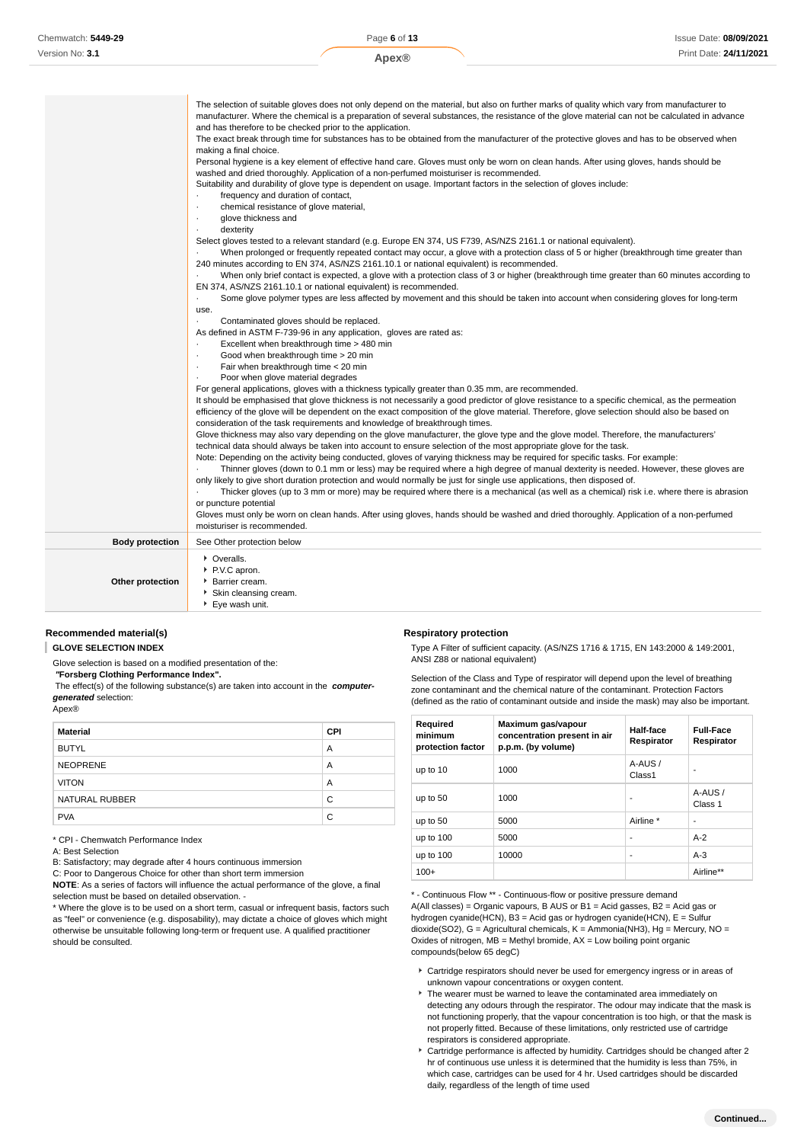|                        | The selection of suitable gloves does not only depend on the material, but also on further marks of quality which vary from manufacturer to<br>manufacturer. Where the chemical is a preparation of several substances, the resistance of the glove material can not be calculated in advance<br>and has therefore to be checked prior to the application.<br>The exact break through time for substances has to be obtained from the manufacturer of the protective gloves and has to be observed when<br>making a final choice.<br>Personal hygiene is a key element of effective hand care. Gloves must only be worn on clean hands. After using gloves, hands should be<br>washed and dried thoroughly. Application of a non-perfumed moisturiser is recommended.<br>Suitability and durability of glove type is dependent on usage. Important factors in the selection of gloves include:<br>frequency and duration of contact,<br>chemical resistance of glove material,<br>glove thickness and<br>٠<br>dexterity<br>Select gloves tested to a relevant standard (e.g. Europe EN 374, US F739, AS/NZS 2161.1 or national equivalent).<br>When prolonged or frequently repeated contact may occur, a glove with a protection class of 5 or higher (breakthrough time greater than<br>240 minutes according to EN 374, AS/NZS 2161.10.1 or national equivalent) is recommended.<br>When only brief contact is expected, a glove with a protection class of 3 or higher (breakthrough time greater than 60 minutes according to<br>EN 374, AS/NZS 2161.10.1 or national equivalent) is recommended.<br>Some glove polymer types are less affected by movement and this should be taken into account when considering gloves for long-term<br>use.<br>Contaminated gloves should be replaced.<br>As defined in ASTM F-739-96 in any application, gloves are rated as:<br>Excellent when breakthrough time > 480 min<br>Good when breakthrough time > 20 min<br>٠<br>Fair when breakthrough time < 20 min<br>Poor when glove material degrades<br>For general applications, gloves with a thickness typically greater than 0.35 mm, are recommended.<br>It should be emphasised that glove thickness is not necessarily a good predictor of glove resistance to a specific chemical, as the permeation<br>efficiency of the glove will be dependent on the exact composition of the glove material. Therefore, glove selection should also be based on<br>consideration of the task requirements and knowledge of breakthrough times.<br>Glove thickness may also vary depending on the glove manufacturer, the glove type and the glove model. Therefore, the manufacturers'<br>technical data should always be taken into account to ensure selection of the most appropriate glove for the task.<br>Note: Depending on the activity being conducted, gloves of varying thickness may be required for specific tasks. For example:<br>Thinner gloves (down to 0.1 mm or less) may be required where a high degree of manual dexterity is needed. However, these gloves are<br>only likely to give short duration protection and would normally be just for single use applications, then disposed of.<br>Thicker gloves (up to 3 mm or more) may be required where there is a mechanical (as well as a chemical) risk i.e. where there is abrasion |
|------------------------|-------------------------------------------------------------------------------------------------------------------------------------------------------------------------------------------------------------------------------------------------------------------------------------------------------------------------------------------------------------------------------------------------------------------------------------------------------------------------------------------------------------------------------------------------------------------------------------------------------------------------------------------------------------------------------------------------------------------------------------------------------------------------------------------------------------------------------------------------------------------------------------------------------------------------------------------------------------------------------------------------------------------------------------------------------------------------------------------------------------------------------------------------------------------------------------------------------------------------------------------------------------------------------------------------------------------------------------------------------------------------------------------------------------------------------------------------------------------------------------------------------------------------------------------------------------------------------------------------------------------------------------------------------------------------------------------------------------------------------------------------------------------------------------------------------------------------------------------------------------------------------------------------------------------------------------------------------------------------------------------------------------------------------------------------------------------------------------------------------------------------------------------------------------------------------------------------------------------------------------------------------------------------------------------------------------------------------------------------------------------------------------------------------------------------------------------------------------------------------------------------------------------------------------------------------------------------------------------------------------------------------------------------------------------------------------------------------------------------------------------------------------------------------------------------------------------------------------------------------------------------------------------------------------------------------------------------------------------------------------------------------------------------------------------------------------------------------------------------------------------------------------------------------------------------------------------------------------------------------------------------------------------------------------------------------------------------------------------------------|
|                        | or puncture potential<br>Gloves must only be worn on clean hands. After using gloves, hands should be washed and dried thoroughly. Application of a non-perfumed<br>moisturiser is recommended.                                                                                                                                                                                                                                                                                                                                                                                                                                                                                                                                                                                                                                                                                                                                                                                                                                                                                                                                                                                                                                                                                                                                                                                                                                                                                                                                                                                                                                                                                                                                                                                                                                                                                                                                                                                                                                                                                                                                                                                                                                                                                                                                                                                                                                                                                                                                                                                                                                                                                                                                                                                                                                                                                                                                                                                                                                                                                                                                                                                                                                                                                                                                                       |
| <b>Body protection</b> | See Other protection below                                                                                                                                                                                                                                                                                                                                                                                                                                                                                                                                                                                                                                                                                                                                                                                                                                                                                                                                                                                                                                                                                                                                                                                                                                                                                                                                                                                                                                                                                                                                                                                                                                                                                                                                                                                                                                                                                                                                                                                                                                                                                                                                                                                                                                                                                                                                                                                                                                                                                                                                                                                                                                                                                                                                                                                                                                                                                                                                                                                                                                                                                                                                                                                                                                                                                                                            |
|                        | • Overalls.                                                                                                                                                                                                                                                                                                                                                                                                                                                                                                                                                                                                                                                                                                                                                                                                                                                                                                                                                                                                                                                                                                                                                                                                                                                                                                                                                                                                                                                                                                                                                                                                                                                                                                                                                                                                                                                                                                                                                                                                                                                                                                                                                                                                                                                                                                                                                                                                                                                                                                                                                                                                                                                                                                                                                                                                                                                                                                                                                                                                                                                                                                                                                                                                                                                                                                                                           |
| Other protection       | ▶ P.V.C apron.<br>Barrier cream.<br>Skin cleansing cream.<br>▶ Eye wash unit.                                                                                                                                                                                                                                                                                                                                                                                                                                                                                                                                                                                                                                                                                                                                                                                                                                                                                                                                                                                                                                                                                                                                                                                                                                                                                                                                                                                                                                                                                                                                                                                                                                                                                                                                                                                                                                                                                                                                                                                                                                                                                                                                                                                                                                                                                                                                                                                                                                                                                                                                                                                                                                                                                                                                                                                                                                                                                                                                                                                                                                                                                                                                                                                                                                                                         |

# **Recommended material(s)**

**GLOVE SELECTION INDEX**

Glove selection is based on a modified presentation of the:

 **"Forsberg Clothing Performance Index".**

 The effect(s) of the following substance(s) are taken into account in the **computergenerated** selection:

**Respiratory protection**

Type A Filter of sufficient capacity. (AS/NZS 1716 & 1715, EN 143:2000 & 149:2001, ANSI Z88 or national equivalent)

Selection of the Class and Type of respirator will depend upon the level of breathing zone contaminant and the chemical nature of the contaminant. Protection Factors (defined as the ratio of contaminant outside and inside the mask) may also be important.

| Required<br>minimum<br>protection factor | Maximum gas/vapour<br>concentration present in air<br>p.p.m. (by volume) | Half-face<br>Respirator | <b>Full-Face</b><br>Respirator |
|------------------------------------------|--------------------------------------------------------------------------|-------------------------|--------------------------------|
| up to 10                                 | 1000                                                                     | A-AUS/<br>Class1        |                                |
| up to 50                                 | 1000                                                                     | ۰                       | A-AUS/<br>Class 1              |
| up to 50                                 | 5000                                                                     | Airline *               | ۰                              |
| up to 100                                | 5000                                                                     | ٠                       | $A-2$                          |
| up to 100                                | 10000                                                                    | ٠                       | $A-3$                          |
| $100+$                                   |                                                                          |                         | Airline**                      |

\* - Continuous Flow \*\* - Continuous-flow or positive pressure demand A(All classes) = Organic vapours, B AUS or B1 = Acid gasses, B2 = Acid gas or hydrogen cyanide(HCN), B3 = Acid gas or hydrogen cyanide(HCN), E = Sulfur dioxide(SO2), G = Agricultural chemicals, K = Ammonia(NH3), Hg = Mercury, NO = Oxides of nitrogen,  $MB =$  Methyl bromide,  $AX =$  Low boiling point organic compounds(below 65 degC)

- Cartridge respirators should never be used for emergency ingress or in areas of unknown vapour concentrations or oxygen content.
- The wearer must be warned to leave the contaminated area immediately on detecting any odours through the respirator. The odour may indicate that the mask is not functioning properly, that the vapour concentration is too high, or that the mask is not properly fitted. Because of these limitations, only restricted use of cartridge respirators is considered appropriate.
- Cartridge performance is affected by humidity. Cartridges should be changed after 2 hr of continuous use unless it is determined that the humidity is less than 75%, in which case, cartridges can be used for 4 hr. Used cartridges should be discarded daily, regardless of the length of time used

| generateu scicciion.<br>Apex® |     |
|-------------------------------|-----|
| Material                      | CPI |

|                 | . . |
|-----------------|-----|
| <b>BUTYL</b>    | A   |
| <b>NEOPRENE</b> | Α   |
| <b>VITON</b>    | Α   |
| NATURAL RUBBER  | C   |
| <b>PVA</b>      | C   |

\* CPI - Chemwatch Performance Index

A: Best Selection

B: Satisfactory; may degrade after 4 hours continuous immersion

C: Poor to Dangerous Choice for other than short term immersion

**NOTE**: As a series of factors will influence the actual performance of the glove, a final selection must be based on detailed observation. -

<sup>\*</sup> Where the glove is to be used on a short term, casual or infrequent basis, factors such as "feel" or convenience (e.g. disposability), may dictate a choice of gloves which might otherwise be unsuitable following long-term or frequent use. A qualified practitioner should be consulted.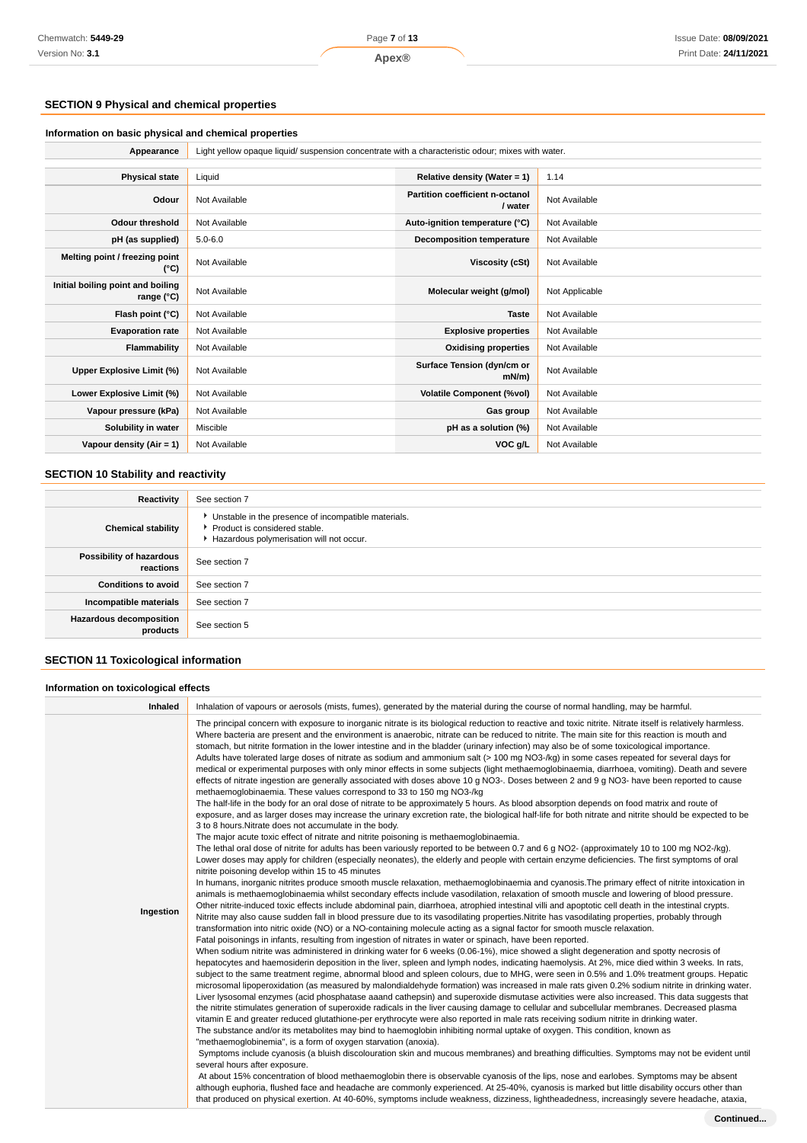# **SECTION 9 Physical and chemical properties**

# **Information on basic physical and chemical properties**

| Appearance   Light yellow opaque liquid/ suspension concentrate with a characteristic odour; mixes with water. |
|----------------------------------------------------------------------------------------------------------------|
|                                                                                                                |

| <b>Physical state</b>                           | Liquid        | Relative density (Water = $1$ )            | 1.14           |
|-------------------------------------------------|---------------|--------------------------------------------|----------------|
| Odour                                           | Not Available | Partition coefficient n-octanol<br>/ water | Not Available  |
| Odour threshold                                 | Not Available | Auto-ignition temperature (°C)             | Not Available  |
| pH (as supplied)                                | $5.0 - 6.0$   | Decomposition temperature                  | Not Available  |
| Melting point / freezing point<br>(°C)          | Not Available | Viscosity (cSt)                            | Not Available  |
| Initial boiling point and boiling<br>range (°C) | Not Available | Molecular weight (g/mol)                   | Not Applicable |
| Flash point (°C)                                | Not Available | <b>Taste</b>                               | Not Available  |
| <b>Evaporation rate</b>                         | Not Available | <b>Explosive properties</b>                | Not Available  |
| Flammability                                    | Not Available | <b>Oxidising properties</b>                | Not Available  |
| Upper Explosive Limit (%)                       | Not Available | Surface Tension (dyn/cm or<br>$mN/m$ )     | Not Available  |
| Lower Explosive Limit (%)                       | Not Available | <b>Volatile Component (%vol)</b>           | Not Available  |
| Vapour pressure (kPa)                           | Not Available | Gas group                                  | Not Available  |
| Solubility in water                             | Miscible      | pH as a solution (%)                       | Not Available  |
| Vapour density $(Air = 1)$                      | Not Available | VOC g/L                                    | Not Available  |

# **SECTION 10 Stability and reactivity**

| Reactivity                                 | See section 7                                                                                                                      |
|--------------------------------------------|------------------------------------------------------------------------------------------------------------------------------------|
| <b>Chemical stability</b>                  | • Unstable in the presence of incompatible materials.<br>Product is considered stable.<br>Hazardous polymerisation will not occur. |
| Possibility of hazardous<br>reactions      | See section 7                                                                                                                      |
| <b>Conditions to avoid</b>                 | See section 7                                                                                                                      |
| Incompatible materials                     | See section 7                                                                                                                      |
| <b>Hazardous decomposition</b><br>products | See section 5                                                                                                                      |
|                                            |                                                                                                                                    |

# **SECTION 11 Toxicological information**

# **Information on toxicological effects**

| Inhaled   | Inhalation of vapours or aerosols (mists, fumes), generated by the material during the course of normal handling, may be harmful.                                                                                                                                                                                                                                                                                                                                                                                                                                                                                                                                                                                                                                                                                                                                                                                                                                                                                                                                                                                                                                                                                                                                                                                                                                                                                                                                                                                                                                                                                                                                                                                                                                                                                                                                                                                                                                                                                                                                                                                                                                                                                                                                                                                                                                                                                                                                                                                                                                                                                                                                                                                                                                                                                                                                                                                                                                                                                                                                                                                                                                                                                                                                                                                                                                                                                                                                                                                                                                                                                                                                                                                                                                                                                                                                                                                                                                                                                                                                                                                                                                                                                                                                                                                                                                                                                                                                                                                        |
|-----------|--------------------------------------------------------------------------------------------------------------------------------------------------------------------------------------------------------------------------------------------------------------------------------------------------------------------------------------------------------------------------------------------------------------------------------------------------------------------------------------------------------------------------------------------------------------------------------------------------------------------------------------------------------------------------------------------------------------------------------------------------------------------------------------------------------------------------------------------------------------------------------------------------------------------------------------------------------------------------------------------------------------------------------------------------------------------------------------------------------------------------------------------------------------------------------------------------------------------------------------------------------------------------------------------------------------------------------------------------------------------------------------------------------------------------------------------------------------------------------------------------------------------------------------------------------------------------------------------------------------------------------------------------------------------------------------------------------------------------------------------------------------------------------------------------------------------------------------------------------------------------------------------------------------------------------------------------------------------------------------------------------------------------------------------------------------------------------------------------------------------------------------------------------------------------------------------------------------------------------------------------------------------------------------------------------------------------------------------------------------------------------------------------------------------------------------------------------------------------------------------------------------------------------------------------------------------------------------------------------------------------------------------------------------------------------------------------------------------------------------------------------------------------------------------------------------------------------------------------------------------------------------------------------------------------------------------------------------------------------------------------------------------------------------------------------------------------------------------------------------------------------------------------------------------------------------------------------------------------------------------------------------------------------------------------------------------------------------------------------------------------------------------------------------------------------------------------------------------------------------------------------------------------------------------------------------------------------------------------------------------------------------------------------------------------------------------------------------------------------------------------------------------------------------------------------------------------------------------------------------------------------------------------------------------------------------------------------------------------------------------------------------------------------------------------------------------------------------------------------------------------------------------------------------------------------------------------------------------------------------------------------------------------------------------------------------------------------------------------------------------------------------------------------------------------------------------------------------------------------------------------------------------------|
| Ingestion | The principal concern with exposure to inorganic nitrate is its biological reduction to reactive and toxic nitrite. Nitrate itself is relatively harmless.<br>Where bacteria are present and the environment is anaerobic, nitrate can be reduced to nitrite. The main site for this reaction is mouth and<br>stomach, but nitrite formation in the lower intestine and in the bladder (urinary infection) may also be of some toxicological importance.<br>Adults have tolerated large doses of nitrate as sodium and ammonium salt (> 100 mg NO3-/kg) in some cases repeated for several days for<br>medical or experimental purposes with only minor effects in some subjects (light methaemoglobinaemia, diarrhoea, vomiting). Death and severe<br>effects of nitrate ingestion are generally associated with doses above 10 g NO3-. Doses between 2 and 9 g NO3- have been reported to cause<br>methaemoglobinaemia. These values correspond to 33 to 150 mg NO3-/kg<br>The half-life in the body for an oral dose of nitrate to be approximately 5 hours. As blood absorption depends on food matrix and route of<br>exposure, and as larger doses may increase the urinary excretion rate, the biological half-life for both nitrate and nitrite should be expected to be<br>3 to 8 hours. Nitrate does not accumulate in the body.<br>The major acute toxic effect of nitrate and nitrite poisoning is methaemoglobinaemia.<br>The lethal oral dose of nitrite for adults has been variously reported to be between 0.7 and 6 g NO2- (approximately 10 to 100 mg NO2-/kg).<br>Lower doses may apply for children (especially neonates), the elderly and people with certain enzyme deficiencies. The first symptoms of oral<br>nitrite poisoning develop within 15 to 45 minutes<br>In humans, inorganic nitrites produce smooth muscle relaxation, methaemoglobinaemia and cyanosis. The primary effect of nitrite intoxication in<br>animals is methaemoglobinaemia whilst secondary effects include vasodilation, relaxation of smooth muscle and lowering of blood pressure.<br>Other nitrite-induced toxic effects include abdominal pain, diarrhoea, atrophied intestinal villi and apoptotic cell death in the intestinal crypts.<br>Nitrite may also cause sudden fall in blood pressure due to its vasodilating properties.Nitrite has vasodilating properties, probably through<br>transformation into nitric oxide (NO) or a NO-containing molecule acting as a signal factor for smooth muscle relaxation.<br>Fatal poisonings in infants, resulting from ingestion of nitrates in water or spinach, have been reported.<br>When sodium nitrite was administered in drinking water for 6 weeks (0.06-1%), mice showed a slight degeneration and spotty necrosis of<br>hepatocytes and haemosiderin deposition in the liver, spleen and lymph nodes, indicating haemolysis. At 2%, mice died within 3 weeks. In rats,<br>subject to the same treatment regime, abnormal blood and spleen colours, due to MHG, were seen in 0.5% and 1.0% treatment groups. Hepatic<br>microsomal lipoperoxidation (as measured by malondialdehyde formation) was increased in male rats given 0.2% sodium nitrite in drinking water.<br>Liver lysosomal enzymes (acid phosphatase aaand cathepsin) and superoxide dismutase activities were also increased. This data suggests that<br>the nitrite stimulates generation of superoxide radicals in the liver causing damage to cellular and subcellular membranes. Decreased plasma<br>vitamin E and greater reduced glutathione-per erythrocyte were also reported in male rats receiving sodium nitrite in drinking water.<br>The substance and/or its metabolites may bind to haemoglobin inhibiting normal uptake of oxygen. This condition, known as<br>"methaemoglobinemia", is a form of oxygen starvation (anoxia).<br>Symptoms include cyanosis (a bluish discolouration skin and mucous membranes) and breathing difficulties. Symptoms may not be evident until<br>several hours after exposure.<br>At about 15% concentration of blood methaemoglobin there is observable cyanosis of the lips, nose and earlobes. Symptoms may be absent<br>although euphoria, flushed face and headache are commonly experienced. At 25-40%, cyanosis is marked but little disability occurs other than<br>that produced on physical exertion. At 40-60%, symptoms include weakness, dizziness, lightheadedness, increasingly severe headache, ataxia,<br>$\sim$ $\sim$ |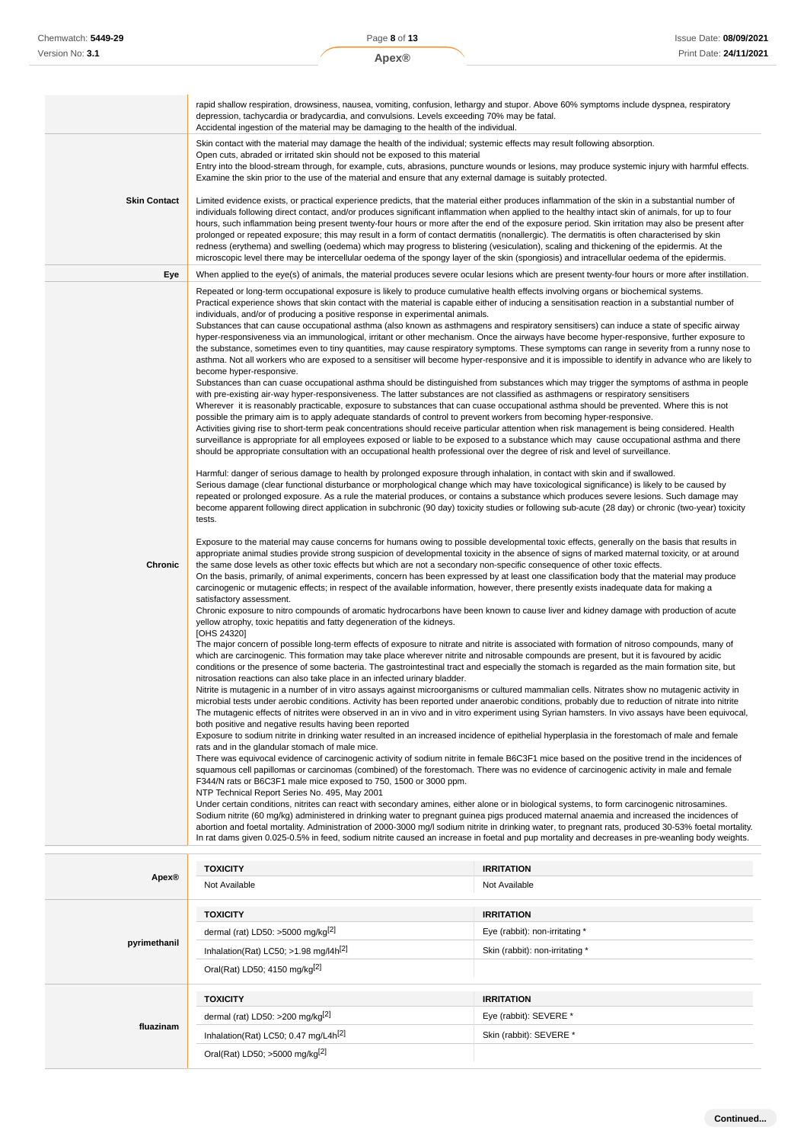| Chemwatch: 5449-29  | Page 8 of 13                                                                                                                                                                                                                                                                                                                                                                                                                                                                                                                                              |                                                                                                                                                                                                                                                                                                                                                                                                                                                                                                                                                                                                                                                                                                                                                                                                                                                                                                                                                                                                                                                                                                                                                                                                                                                                                                                                                                                                                                                                                                                                                                                                                                                                                                                                                                                                                                                                                                                                                                                                                                                                                                                                                                                                                                                                                                                                                                                                                                                                                                                                                                                                                                                                                                                                                                                                                                                                                                                                                                                                                                                                                                                                                                                                                                                                                                                                                                                                                                                                                                                                                                                                                                                                                                                                                                                                                                                                                                                                                                                                                                                                                                                                                                                                                                                                                                                                                                                                                                                                                                                                                                                                                                                                                                                                                                                                                                                                                                                                                                                                                                                                                                                                                          | Issue Date: 08/09/202 |
|---------------------|-----------------------------------------------------------------------------------------------------------------------------------------------------------------------------------------------------------------------------------------------------------------------------------------------------------------------------------------------------------------------------------------------------------------------------------------------------------------------------------------------------------------------------------------------------------|----------------------------------------------------------------------------------------------------------------------------------------------------------------------------------------------------------------------------------------------------------------------------------------------------------------------------------------------------------------------------------------------------------------------------------------------------------------------------------------------------------------------------------------------------------------------------------------------------------------------------------------------------------------------------------------------------------------------------------------------------------------------------------------------------------------------------------------------------------------------------------------------------------------------------------------------------------------------------------------------------------------------------------------------------------------------------------------------------------------------------------------------------------------------------------------------------------------------------------------------------------------------------------------------------------------------------------------------------------------------------------------------------------------------------------------------------------------------------------------------------------------------------------------------------------------------------------------------------------------------------------------------------------------------------------------------------------------------------------------------------------------------------------------------------------------------------------------------------------------------------------------------------------------------------------------------------------------------------------------------------------------------------------------------------------------------------------------------------------------------------------------------------------------------------------------------------------------------------------------------------------------------------------------------------------------------------------------------------------------------------------------------------------------------------------------------------------------------------------------------------------------------------------------------------------------------------------------------------------------------------------------------------------------------------------------------------------------------------------------------------------------------------------------------------------------------------------------------------------------------------------------------------------------------------------------------------------------------------------------------------------------------------------------------------------------------------------------------------------------------------------------------------------------------------------------------------------------------------------------------------------------------------------------------------------------------------------------------------------------------------------------------------------------------------------------------------------------------------------------------------------------------------------------------------------------------------------------------------------------------------------------------------------------------------------------------------------------------------------------------------------------------------------------------------------------------------------------------------------------------------------------------------------------------------------------------------------------------------------------------------------------------------------------------------------------------------------------------------------------------------------------------------------------------------------------------------------------------------------------------------------------------------------------------------------------------------------------------------------------------------------------------------------------------------------------------------------------------------------------------------------------------------------------------------------------------------------------------------------------------------------------------------------------------------------------------------------------------------------------------------------------------------------------------------------------------------------------------------------------------------------------------------------------------------------------------------------------------------------------------------------------------------------------------------------------------------------------------------------------------------------------------------------|-----------------------|
| Version No: 3.1     | Apex®                                                                                                                                                                                                                                                                                                                                                                                                                                                                                                                                                     |                                                                                                                                                                                                                                                                                                                                                                                                                                                                                                                                                                                                                                                                                                                                                                                                                                                                                                                                                                                                                                                                                                                                                                                                                                                                                                                                                                                                                                                                                                                                                                                                                                                                                                                                                                                                                                                                                                                                                                                                                                                                                                                                                                                                                                                                                                                                                                                                                                                                                                                                                                                                                                                                                                                                                                                                                                                                                                                                                                                                                                                                                                                                                                                                                                                                                                                                                                                                                                                                                                                                                                                                                                                                                                                                                                                                                                                                                                                                                                                                                                                                                                                                                                                                                                                                                                                                                                                                                                                                                                                                                                                                                                                                                                                                                                                                                                                                                                                                                                                                                                                                                                                                                          | Print Date: 24/11/202 |
|                     |                                                                                                                                                                                                                                                                                                                                                                                                                                                                                                                                                           |                                                                                                                                                                                                                                                                                                                                                                                                                                                                                                                                                                                                                                                                                                                                                                                                                                                                                                                                                                                                                                                                                                                                                                                                                                                                                                                                                                                                                                                                                                                                                                                                                                                                                                                                                                                                                                                                                                                                                                                                                                                                                                                                                                                                                                                                                                                                                                                                                                                                                                                                                                                                                                                                                                                                                                                                                                                                                                                                                                                                                                                                                                                                                                                                                                                                                                                                                                                                                                                                                                                                                                                                                                                                                                                                                                                                                                                                                                                                                                                                                                                                                                                                                                                                                                                                                                                                                                                                                                                                                                                                                                                                                                                                                                                                                                                                                                                                                                                                                                                                                                                                                                                                                          |                       |
|                     | depression, tachycardia or bradycardia, and convulsions. Levels exceeding 70% may be fatal.<br>Accidental ingestion of the material may be damaging to the health of the individual.                                                                                                                                                                                                                                                                                                                                                                      | rapid shallow respiration, drowsiness, nausea, vomiting, confusion, lethargy and stupor. Above 60% symptoms include dyspnea, respiratory                                                                                                                                                                                                                                                                                                                                                                                                                                                                                                                                                                                                                                                                                                                                                                                                                                                                                                                                                                                                                                                                                                                                                                                                                                                                                                                                                                                                                                                                                                                                                                                                                                                                                                                                                                                                                                                                                                                                                                                                                                                                                                                                                                                                                                                                                                                                                                                                                                                                                                                                                                                                                                                                                                                                                                                                                                                                                                                                                                                                                                                                                                                                                                                                                                                                                                                                                                                                                                                                                                                                                                                                                                                                                                                                                                                                                                                                                                                                                                                                                                                                                                                                                                                                                                                                                                                                                                                                                                                                                                                                                                                                                                                                                                                                                                                                                                                                                                                                                                                                                 |                       |
|                     | Open cuts, abraded or irritated skin should not be exposed to this material<br>Examine the skin prior to the use of the material and ensure that any external damage is suitably protected.                                                                                                                                                                                                                                                                                                                                                               | Skin contact with the material may damage the health of the individual; systemic effects may result following absorption.<br>Entry into the blood-stream through, for example, cuts, abrasions, puncture wounds or lesions, may produce systemic injury with harmful effects.                                                                                                                                                                                                                                                                                                                                                                                                                                                                                                                                                                                                                                                                                                                                                                                                                                                                                                                                                                                                                                                                                                                                                                                                                                                                                                                                                                                                                                                                                                                                                                                                                                                                                                                                                                                                                                                                                                                                                                                                                                                                                                                                                                                                                                                                                                                                                                                                                                                                                                                                                                                                                                                                                                                                                                                                                                                                                                                                                                                                                                                                                                                                                                                                                                                                                                                                                                                                                                                                                                                                                                                                                                                                                                                                                                                                                                                                                                                                                                                                                                                                                                                                                                                                                                                                                                                                                                                                                                                                                                                                                                                                                                                                                                                                                                                                                                                                            |                       |
| <b>Skin Contact</b> |                                                                                                                                                                                                                                                                                                                                                                                                                                                                                                                                                           | Limited evidence exists, or practical experience predicts, that the material either produces inflammation of the skin in a substantial number of<br>individuals following direct contact, and/or produces significant inflammation when applied to the healthy intact skin of animals, for up to four<br>hours, such inflammation being present twenty-four hours or more after the end of the exposure period. Skin irritation may also be present after<br>prolonged or repeated exposure; this may result in a form of contact dermatitis (nonallergic). The dermatitis is often characterised by skin<br>redness (erythema) and swelling (oedema) which may progress to blistering (vesiculation), scaling and thickening of the epidermis. At the<br>microscopic level there may be intercellular oedema of the spongy layer of the skin (spongiosis) and intracellular oedema of the epidermis.                                                                                                                                                                                                                                                                                                                                                                                                                                                                                                                                                                                                                                                                                                                                                                                                                                                                                                                                                                                                                                                                                                                                                                                                                                                                                                                                                                                                                                                                                                                                                                                                                                                                                                                                                                                                                                                                                                                                                                                                                                                                                                                                                                                                                                                                                                                                                                                                                                                                                                                                                                                                                                                                                                                                                                                                                                                                                                                                                                                                                                                                                                                                                                                                                                                                                                                                                                                                                                                                                                                                                                                                                                                                                                                                                                                                                                                                                                                                                                                                                                                                                                                                                                                                                                                    |                       |
| Eye                 |                                                                                                                                                                                                                                                                                                                                                                                                                                                                                                                                                           | When applied to the eye(s) of animals, the material produces severe ocular lesions which are present twenty-four hours or more after instillation.                                                                                                                                                                                                                                                                                                                                                                                                                                                                                                                                                                                                                                                                                                                                                                                                                                                                                                                                                                                                                                                                                                                                                                                                                                                                                                                                                                                                                                                                                                                                                                                                                                                                                                                                                                                                                                                                                                                                                                                                                                                                                                                                                                                                                                                                                                                                                                                                                                                                                                                                                                                                                                                                                                                                                                                                                                                                                                                                                                                                                                                                                                                                                                                                                                                                                                                                                                                                                                                                                                                                                                                                                                                                                                                                                                                                                                                                                                                                                                                                                                                                                                                                                                                                                                                                                                                                                                                                                                                                                                                                                                                                                                                                                                                                                                                                                                                                                                                                                                                                       |                       |
| Chronic             | individuals, and/or of producing a positive response in experimental animals.<br>become hyper-responsive.<br>tests.<br>satisfactory assessment.<br>yellow atrophy, toxic hepatitis and fatty degeneration of the kidneys.<br>[OHS 24320]<br>nitrosation reactions can also take place in an infected urinary bladder.<br>both positive and negative results having been reported<br>rats and in the glandular stomach of male mice.<br>F344/N rats or B6C3F1 male mice exposed to 750, 1500 or 3000 ppm.<br>NTP Technical Report Series No. 495, May 2001 | Repeated or long-term occupational exposure is likely to produce cumulative health effects involving organs or biochemical systems.<br>Practical experience shows that skin contact with the material is capable either of inducing a sensitisation reaction in a substantial number of<br>Substances that can cause occupational asthma (also known as asthmagens and respiratory sensitisers) can induce a state of specific airway<br>hyper-responsiveness via an immunological, irritant or other mechanism. Once the airways have become hyper-responsive, further exposure to<br>the substance, sometimes even to tiny quantities, may cause respiratory symptoms. These symptoms can range in severity from a runny nose to<br>asthma. Not all workers who are exposed to a sensitiser will become hyper-responsive and it is impossible to identify in advance who are likely to<br>Substances than can cuase occupational asthma should be distinguished from substances which may trigger the symptoms of asthma in people<br>with pre-existing air-way hyper-responsiveness. The latter substances are not classified as asthmagens or respiratory sensitisers<br>Wherever it is reasonably practicable, exposure to substances that can cuase occupational asthma should be prevented. Where this is not<br>possible the primary aim is to apply adequate standards of control to prevent workers from becoming hyper-responsive.<br>Activities giving rise to short-term peak concentrations should receive particular attention when risk management is being considered. Health<br>surveillance is appropriate for all employees exposed or liable to be exposed to a substance which may cause occupational asthma and there<br>should be appropriate consultation with an occupational health professional over the degree of risk and level of surveillance.<br>Harmful: danger of serious damage to health by prolonged exposure through inhalation, in contact with skin and if swallowed.<br>Serious damage (clear functional disturbance or morphological change which may have toxicological significance) is likely to be caused by<br>repeated or prolonged exposure. As a rule the material produces, or contains a substance which produces severe lesions. Such damage may<br>become apparent following direct application in subchronic (90 day) toxicity studies or following sub-acute (28 day) or chronic (two-year) toxicity<br>Exposure to the material may cause concerns for humans owing to possible developmental toxic effects, generally on the basis that results in<br>appropriate animal studies provide strong suspicion of developmental toxicity in the absence of signs of marked maternal toxicity, or at around<br>the same dose levels as other toxic effects but which are not a secondary non-specific consequence of other toxic effects.<br>On the basis, primarily, of animal experiments, concern has been expressed by at least one classification body that the material may produce<br>carcinogenic or mutagenic effects; in respect of the available information, however, there presently exists inadequate data for making a<br>Chronic exposure to nitro compounds of aromatic hydrocarbons have been known to cause liver and kidney damage with production of acute<br>The major concern of possible long-term effects of exposure to nitrate and nitrite is associated with formation of nitroso compounds, many of<br>which are carcinogenic. This formation may take place wherever nitrite and nitrosable compounds are present, but it is favoured by acidic<br>conditions or the presence of some bacteria. The gastrointestinal tract and especially the stomach is regarded as the main formation site, but<br>Nitrite is mutagenic in a number of in vitro assays against microorganisms or cultured mammalian cells. Nitrates show no mutagenic activity in<br>microbial tests under aerobic conditions. Activity has been reported under anaerobic conditions, probably due to reduction of nitrate into nitrite<br>The mutagenic effects of nitrites were observed in an in vivo and in vitro experiment using Syrian hamsters. In vivo assays have been equivocal,<br>Exposure to sodium nitrite in drinking water resulted in an increased incidence of epithelial hyperplasia in the forestomach of male and female<br>There was equivocal evidence of carcinogenic activity of sodium nitrite in female B6C3F1 mice based on the positive trend in the incidences of<br>squamous cell papillomas or carcinomas (combined) of the forestomach. There was no evidence of carcinogenic activity in male and female<br>Under certain conditions, nitrites can react with secondary amines, either alone or in biological systems, to form carcinogenic nitrosamines.<br>Sodium nitrite (60 mg/kg) administered in drinking water to pregnant guinea pigs produced maternal anaemia and increased the incidences of<br>abortion and foetal mortality. Administration of 2000-3000 mg/l sodium nitrite in drinking water, to pregnant rats, produced 30-53% foetal mortality. |                       |
|                     |                                                                                                                                                                                                                                                                                                                                                                                                                                                                                                                                                           | In rat dams given 0.025-0.5% in feed, sodium nitrite caused an increase in foetal and pup mortality and decreases in pre-weanling body weights.                                                                                                                                                                                                                                                                                                                                                                                                                                                                                                                                                                                                                                                                                                                                                                                                                                                                                                                                                                                                                                                                                                                                                                                                                                                                                                                                                                                                                                                                                                                                                                                                                                                                                                                                                                                                                                                                                                                                                                                                                                                                                                                                                                                                                                                                                                                                                                                                                                                                                                                                                                                                                                                                                                                                                                                                                                                                                                                                                                                                                                                                                                                                                                                                                                                                                                                                                                                                                                                                                                                                                                                                                                                                                                                                                                                                                                                                                                                                                                                                                                                                                                                                                                                                                                                                                                                                                                                                                                                                                                                                                                                                                                                                                                                                                                                                                                                                                                                                                                                                          |                       |
|                     | <b>TOXICITY</b>                                                                                                                                                                                                                                                                                                                                                                                                                                                                                                                                           | <b>IRRITATION</b>                                                                                                                                                                                                                                                                                                                                                                                                                                                                                                                                                                                                                                                                                                                                                                                                                                                                                                                                                                                                                                                                                                                                                                                                                                                                                                                                                                                                                                                                                                                                                                                                                                                                                                                                                                                                                                                                                                                                                                                                                                                                                                                                                                                                                                                                                                                                                                                                                                                                                                                                                                                                                                                                                                                                                                                                                                                                                                                                                                                                                                                                                                                                                                                                                                                                                                                                                                                                                                                                                                                                                                                                                                                                                                                                                                                                                                                                                                                                                                                                                                                                                                                                                                                                                                                                                                                                                                                                                                                                                                                                                                                                                                                                                                                                                                                                                                                                                                                                                                                                                                                                                                                                        |                       |
| Apex®               | Not Available                                                                                                                                                                                                                                                                                                                                                                                                                                                                                                                                             | Not Available                                                                                                                                                                                                                                                                                                                                                                                                                                                                                                                                                                                                                                                                                                                                                                                                                                                                                                                                                                                                                                                                                                                                                                                                                                                                                                                                                                                                                                                                                                                                                                                                                                                                                                                                                                                                                                                                                                                                                                                                                                                                                                                                                                                                                                                                                                                                                                                                                                                                                                                                                                                                                                                                                                                                                                                                                                                                                                                                                                                                                                                                                                                                                                                                                                                                                                                                                                                                                                                                                                                                                                                                                                                                                                                                                                                                                                                                                                                                                                                                                                                                                                                                                                                                                                                                                                                                                                                                                                                                                                                                                                                                                                                                                                                                                                                                                                                                                                                                                                                                                                                                                                                                            |                       |
| pyrimethanil        | <b>TOXICITY</b><br>dermal (rat) LD50: >5000 mg/kg <sup>[2]</sup><br>Inhalation(Rat) LC50; $>1.98$ mg/l4h <sup>[2]</sup><br>Oral(Rat) LD50; 4150 mg/kg <sup>[2]</sup>                                                                                                                                                                                                                                                                                                                                                                                      | <b>IRRITATION</b><br>Eye (rabbit): non-irritating *<br>Skin (rabbit): non-irritating *                                                                                                                                                                                                                                                                                                                                                                                                                                                                                                                                                                                                                                                                                                                                                                                                                                                                                                                                                                                                                                                                                                                                                                                                                                                                                                                                                                                                                                                                                                                                                                                                                                                                                                                                                                                                                                                                                                                                                                                                                                                                                                                                                                                                                                                                                                                                                                                                                                                                                                                                                                                                                                                                                                                                                                                                                                                                                                                                                                                                                                                                                                                                                                                                                                                                                                                                                                                                                                                                                                                                                                                                                                                                                                                                                                                                                                                                                                                                                                                                                                                                                                                                                                                                                                                                                                                                                                                                                                                                                                                                                                                                                                                                                                                                                                                                                                                                                                                                                                                                                                                                   |                       |
|                     |                                                                                                                                                                                                                                                                                                                                                                                                                                                                                                                                                           |                                                                                                                                                                                                                                                                                                                                                                                                                                                                                                                                                                                                                                                                                                                                                                                                                                                                                                                                                                                                                                                                                                                                                                                                                                                                                                                                                                                                                                                                                                                                                                                                                                                                                                                                                                                                                                                                                                                                                                                                                                                                                                                                                                                                                                                                                                                                                                                                                                                                                                                                                                                                                                                                                                                                                                                                                                                                                                                                                                                                                                                                                                                                                                                                                                                                                                                                                                                                                                                                                                                                                                                                                                                                                                                                                                                                                                                                                                                                                                                                                                                                                                                                                                                                                                                                                                                                                                                                                                                                                                                                                                                                                                                                                                                                                                                                                                                                                                                                                                                                                                                                                                                                                          |                       |
|                     | <b>TOXICITY</b><br>dermal (rat) LD50: >200 mg/kg $^{[2]}$                                                                                                                                                                                                                                                                                                                                                                                                                                                                                                 | <b>IRRITATION</b><br>Eye (rabbit): SEVERE *                                                                                                                                                                                                                                                                                                                                                                                                                                                                                                                                                                                                                                                                                                                                                                                                                                                                                                                                                                                                                                                                                                                                                                                                                                                                                                                                                                                                                                                                                                                                                                                                                                                                                                                                                                                                                                                                                                                                                                                                                                                                                                                                                                                                                                                                                                                                                                                                                                                                                                                                                                                                                                                                                                                                                                                                                                                                                                                                                                                                                                                                                                                                                                                                                                                                                                                                                                                                                                                                                                                                                                                                                                                                                                                                                                                                                                                                                                                                                                                                                                                                                                                                                                                                                                                                                                                                                                                                                                                                                                                                                                                                                                                                                                                                                                                                                                                                                                                                                                                                                                                                                                              |                       |
| fluazinam           | Inhalation(Rat) LC50; 0.47 mg/L4h <sup>[2]</sup>                                                                                                                                                                                                                                                                                                                                                                                                                                                                                                          | Skin (rabbit): SEVERE *                                                                                                                                                                                                                                                                                                                                                                                                                                                                                                                                                                                                                                                                                                                                                                                                                                                                                                                                                                                                                                                                                                                                                                                                                                                                                                                                                                                                                                                                                                                                                                                                                                                                                                                                                                                                                                                                                                                                                                                                                                                                                                                                                                                                                                                                                                                                                                                                                                                                                                                                                                                                                                                                                                                                                                                                                                                                                                                                                                                                                                                                                                                                                                                                                                                                                                                                                                                                                                                                                                                                                                                                                                                                                                                                                                                                                                                                                                                                                                                                                                                                                                                                                                                                                                                                                                                                                                                                                                                                                                                                                                                                                                                                                                                                                                                                                                                                                                                                                                                                                                                                                                                                  |                       |
|                     | Oral(Rat) LD50; $>5000$ mg/kg <sup>[2]</sup>                                                                                                                                                                                                                                                                                                                                                                                                                                                                                                              |                                                                                                                                                                                                                                                                                                                                                                                                                                                                                                                                                                                                                                                                                                                                                                                                                                                                                                                                                                                                                                                                                                                                                                                                                                                                                                                                                                                                                                                                                                                                                                                                                                                                                                                                                                                                                                                                                                                                                                                                                                                                                                                                                                                                                                                                                                                                                                                                                                                                                                                                                                                                                                                                                                                                                                                                                                                                                                                                                                                                                                                                                                                                                                                                                                                                                                                                                                                                                                                                                                                                                                                                                                                                                                                                                                                                                                                                                                                                                                                                                                                                                                                                                                                                                                                                                                                                                                                                                                                                                                                                                                                                                                                                                                                                                                                                                                                                                                                                                                                                                                                                                                                                                          |                       |

|              | <b>TOXICITY</b>                                     | <b>IRRITATION</b>               |
|--------------|-----------------------------------------------------|---------------------------------|
| Apex®        | Not Available                                       | Not Available                   |
|              | <b>TOXICITY</b>                                     | <b>IRRITATION</b>               |
|              | dermal (rat) LD50: >5000 mg/kg $^{[2]}$             | Eye (rabbit): non-irritating *  |
| pyrimethanil | Inhalation(Rat) LC50; $>1.98$ mg/l4h <sup>[2]</sup> | Skin (rabbit): non-irritating * |
|              | Oral(Rat) LD50; 4150 mg/kg[2]                       |                                 |
|              | <b>TOXICITY</b>                                     | <b>IRRITATION</b>               |
| fluazinam    | dermal (rat) LD50: >200 mg/kg $[2]$                 | Eye (rabbit): SEVERE *          |
|              | Inhalation(Rat) LC50; 0.47 mg/L4h <sup>[2]</sup>    | Skin (rabbit): SEVERE *         |
|              | Oral(Rat) LD50; >5000 mg/kg <sup>[2]</sup>          |                                 |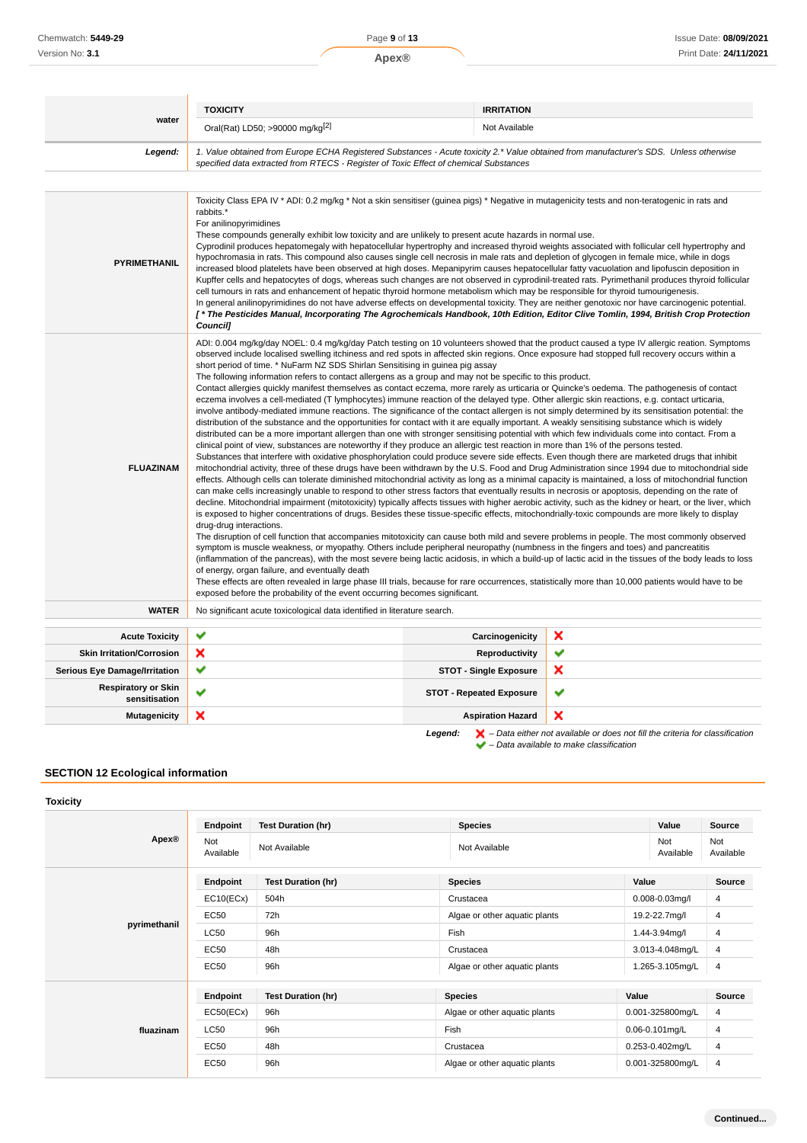| water<br>Legend:                                 | Oral(Rat) LD50; >90000 mg/kg <sup>[2]</sup>                                                                                                                                                                                                                                                                                                                                                                                                                                                                                                                                                                                                                                                                                                                                                                                                                                                                                                                                                                                                                                                                                                                                                                                                                                                                                                                                                                                                                                                                                                                                                                                                                                                                                                                                                                                                                                                                                                                                                                                                                                                                                                                                                                                                                                                                                                                                                                                                                                                                                                                                                                                                                                                                                                                                                                                                                                                                                                                                                                                                                                          |                                 |   |
|--------------------------------------------------|--------------------------------------------------------------------------------------------------------------------------------------------------------------------------------------------------------------------------------------------------------------------------------------------------------------------------------------------------------------------------------------------------------------------------------------------------------------------------------------------------------------------------------------------------------------------------------------------------------------------------------------------------------------------------------------------------------------------------------------------------------------------------------------------------------------------------------------------------------------------------------------------------------------------------------------------------------------------------------------------------------------------------------------------------------------------------------------------------------------------------------------------------------------------------------------------------------------------------------------------------------------------------------------------------------------------------------------------------------------------------------------------------------------------------------------------------------------------------------------------------------------------------------------------------------------------------------------------------------------------------------------------------------------------------------------------------------------------------------------------------------------------------------------------------------------------------------------------------------------------------------------------------------------------------------------------------------------------------------------------------------------------------------------------------------------------------------------------------------------------------------------------------------------------------------------------------------------------------------------------------------------------------------------------------------------------------------------------------------------------------------------------------------------------------------------------------------------------------------------------------------------------------------------------------------------------------------------------------------------------------------------------------------------------------------------------------------------------------------------------------------------------------------------------------------------------------------------------------------------------------------------------------------------------------------------------------------------------------------------------------------------------------------------------------------------------------------------|---------------------------------|---|
|                                                  |                                                                                                                                                                                                                                                                                                                                                                                                                                                                                                                                                                                                                                                                                                                                                                                                                                                                                                                                                                                                                                                                                                                                                                                                                                                                                                                                                                                                                                                                                                                                                                                                                                                                                                                                                                                                                                                                                                                                                                                                                                                                                                                                                                                                                                                                                                                                                                                                                                                                                                                                                                                                                                                                                                                                                                                                                                                                                                                                                                                                                                                                                      | Not Available                   |   |
|                                                  | 1. Value obtained from Europe ECHA Registered Substances - Acute toxicity 2.* Value obtained from manufacturer's SDS. Unless otherwise<br>specified data extracted from RTECS - Register of Toxic Effect of chemical Substances                                                                                                                                                                                                                                                                                                                                                                                                                                                                                                                                                                                                                                                                                                                                                                                                                                                                                                                                                                                                                                                                                                                                                                                                                                                                                                                                                                                                                                                                                                                                                                                                                                                                                                                                                                                                                                                                                                                                                                                                                                                                                                                                                                                                                                                                                                                                                                                                                                                                                                                                                                                                                                                                                                                                                                                                                                                      |                                 |   |
|                                                  |                                                                                                                                                                                                                                                                                                                                                                                                                                                                                                                                                                                                                                                                                                                                                                                                                                                                                                                                                                                                                                                                                                                                                                                                                                                                                                                                                                                                                                                                                                                                                                                                                                                                                                                                                                                                                                                                                                                                                                                                                                                                                                                                                                                                                                                                                                                                                                                                                                                                                                                                                                                                                                                                                                                                                                                                                                                                                                                                                                                                                                                                                      |                                 |   |
| <b>PYRIMETHANIL</b>                              | Toxicity Class EPA IV * ADI: 0.2 mg/kg * Not a skin sensitiser (guinea pigs) * Negative in mutagenicity tests and non-teratogenic in rats and<br>rabbits.*<br>For anilinopyrimidines<br>These compounds generally exhibit low toxicity and are unlikely to present acute hazards in normal use.<br>Cyprodinil produces hepatomegaly with hepatocellular hypertrophy and increased thyroid weights associated with follicular cell hypertrophy and<br>hypochromasia in rats. This compound also causes single cell necrosis in male rats and depletion of glycogen in female mice, while in dogs<br>increased blood platelets have been observed at high doses. Mepanipyrim causes hepatocellular fatty vacuolation and lipofuscin deposition in<br>Kupffer cells and hepatocytes of dogs, whereas such changes are not observed in cyprodinil-treated rats. Pyrimethanil produces thyroid follicular<br>cell tumours in rats and enhancement of hepatic thyroid hormone metabolism which may be responsible for thyroid tumourigenesis.<br>In general anilinopyrimidines do not have adverse effects on developmental toxicity. They are neither genotoxic nor have carcinogenic potential.<br>[* The Pesticides Manual, Incorporating The Agrochemicals Handbook, 10th Edition, Editor Clive Tomlin, 1994, British Crop Protection<br><b>Councill</b>                                                                                                                                                                                                                                                                                                                                                                                                                                                                                                                                                                                                                                                                                                                                                                                                                                                                                                                                                                                                                                                                                                                                                                                                                                                                                                                                                                                                                                                                                                                                                                                                                                                                                                                               |                                 |   |
| <b>FLUAZINAM</b>                                 | ADI: 0.004 mg/kg/day NOEL: 0.4 mg/kg/day Patch testing on 10 volunteers showed that the product caused a type IV allergic reation. Symptoms<br>observed include localised swelling itchiness and red spots in affected skin regions. Once exposure had stopped full recovery occurs within a<br>short period of time. * NuFarm NZ SDS Shirlan Sensitising in guinea pig assay<br>The following information refers to contact allergens as a group and may not be specific to this product.<br>Contact allergies quickly manifest themselves as contact eczema, more rarely as urticaria or Quincke's oedema. The pathogenesis of contact<br>eczema involves a cell-mediated (T lymphocytes) immune reaction of the delayed type. Other allergic skin reactions, e.g. contact urticaria,<br>involve antibody-mediated immune reactions. The significance of the contact allergen is not simply determined by its sensitisation potential: the<br>distribution of the substance and the opportunities for contact with it are equally important. A weakly sensitising substance which is widely<br>distributed can be a more important allergen than one with stronger sensitising potential with which few individuals come into contact. From a<br>clinical point of view, substances are noteworthy if they produce an allergic test reaction in more than 1% of the persons tested.<br>Substances that interfere with oxidative phosphorylation could produce severe side effects. Even though there are marketed drugs that inhibit<br>mitochondrial activity, three of these drugs have been withdrawn by the U.S. Food and Drug Administration since 1994 due to mitochondrial side<br>effects. Although cells can tolerate diminished mitochondrial activity as long as a minimal capacity is maintained, a loss of mitochondrial function<br>can make cells increasingly unable to respond to other stress factors that eventually results in necrosis or apoptosis, depending on the rate of<br>decline. Mitochondrial impairment (mitotoxicity) typically affects tissues with higher aerobic activity, such as the kidney or heart, or the liver, which<br>is exposed to higher concentrations of drugs. Besides these tissue-specific effects, mitochondrially-toxic compounds are more likely to display<br>drug-drug interactions.<br>The disruption of cell function that accompanies mitotoxicity can cause both mild and severe problems in people. The most commonly observed<br>symptom is muscle weakness, or myopathy. Others include peripheral neuropathy (numbness in the fingers and toes) and pancreatitis<br>(inflammation of the pancreas), with the most severe being lactic acidosis, in which a build-up of lactic acid in the tissues of the body leads to loss<br>of energy, organ failure, and eventually death<br>These effects are often revealed in large phase III trials, because for rare occurrences, statistically more than 10,000 patients would have to be<br>exposed before the probability of the event occurring becomes significant. |                                 |   |
| <b>WATER</b>                                     | No significant acute toxicological data identified in literature search.                                                                                                                                                                                                                                                                                                                                                                                                                                                                                                                                                                                                                                                                                                                                                                                                                                                                                                                                                                                                                                                                                                                                                                                                                                                                                                                                                                                                                                                                                                                                                                                                                                                                                                                                                                                                                                                                                                                                                                                                                                                                                                                                                                                                                                                                                                                                                                                                                                                                                                                                                                                                                                                                                                                                                                                                                                                                                                                                                                                                             |                                 |   |
| ✔<br><b>Acute Toxicity</b>                       |                                                                                                                                                                                                                                                                                                                                                                                                                                                                                                                                                                                                                                                                                                                                                                                                                                                                                                                                                                                                                                                                                                                                                                                                                                                                                                                                                                                                                                                                                                                                                                                                                                                                                                                                                                                                                                                                                                                                                                                                                                                                                                                                                                                                                                                                                                                                                                                                                                                                                                                                                                                                                                                                                                                                                                                                                                                                                                                                                                                                                                                                                      | Carcinogenicity                 | × |
| ×<br><b>Skin Irritation/Corrosion</b>            |                                                                                                                                                                                                                                                                                                                                                                                                                                                                                                                                                                                                                                                                                                                                                                                                                                                                                                                                                                                                                                                                                                                                                                                                                                                                                                                                                                                                                                                                                                                                                                                                                                                                                                                                                                                                                                                                                                                                                                                                                                                                                                                                                                                                                                                                                                                                                                                                                                                                                                                                                                                                                                                                                                                                                                                                                                                                                                                                                                                                                                                                                      | Reproductivity                  | ✔ |
| ✔<br><b>Serious Eye Damage/Irritation</b>        |                                                                                                                                                                                                                                                                                                                                                                                                                                                                                                                                                                                                                                                                                                                                                                                                                                                                                                                                                                                                                                                                                                                                                                                                                                                                                                                                                                                                                                                                                                                                                                                                                                                                                                                                                                                                                                                                                                                                                                                                                                                                                                                                                                                                                                                                                                                                                                                                                                                                                                                                                                                                                                                                                                                                                                                                                                                                                                                                                                                                                                                                                      | <b>STOT - Single Exposure</b>   | × |
| <b>Respiratory or Skin</b><br>✔<br>sensitisation |                                                                                                                                                                                                                                                                                                                                                                                                                                                                                                                                                                                                                                                                                                                                                                                                                                                                                                                                                                                                                                                                                                                                                                                                                                                                                                                                                                                                                                                                                                                                                                                                                                                                                                                                                                                                                                                                                                                                                                                                                                                                                                                                                                                                                                                                                                                                                                                                                                                                                                                                                                                                                                                                                                                                                                                                                                                                                                                                                                                                                                                                                      | <b>STOT - Repeated Exposure</b> | ✔ |
| ×<br><b>Mutagenicity</b>                         |                                                                                                                                                                                                                                                                                                                                                                                                                                                                                                                                                                                                                                                                                                                                                                                                                                                                                                                                                                                                                                                                                                                                                                                                                                                                                                                                                                                                                                                                                                                                                                                                                                                                                                                                                                                                                                                                                                                                                                                                                                                                                                                                                                                                                                                                                                                                                                                                                                                                                                                                                                                                                                                                                                                                                                                                                                                                                                                                                                                                                                                                                      | <b>Aspiration Hazard</b>        | × |

**SECTION 12 Ecological information**

**Toxicity**

| Source                        |
|-------------------------------|
|                               |
| Not<br>Available<br>Available |
| <b>Source</b>                 |
| $0.008 - 0.03$ mg/l<br>4      |
| 19.2-22.7mg/l<br>4            |
| 1.44-3.94mg/l<br>4            |
| 3.013-4.048mg/L<br>4          |
| 4<br>1.265-3.105mg/L          |
| <b>Source</b>                 |
| 4<br>0.001-325800mg/L         |
| $0.06 - 0.101$ mg/L<br>4      |
| 0.253-0.402mg/L<br>4          |
| 4<br>0.001-325800mg/L         |
|                               |

 $\blacktriangleright$  – Data available to make classification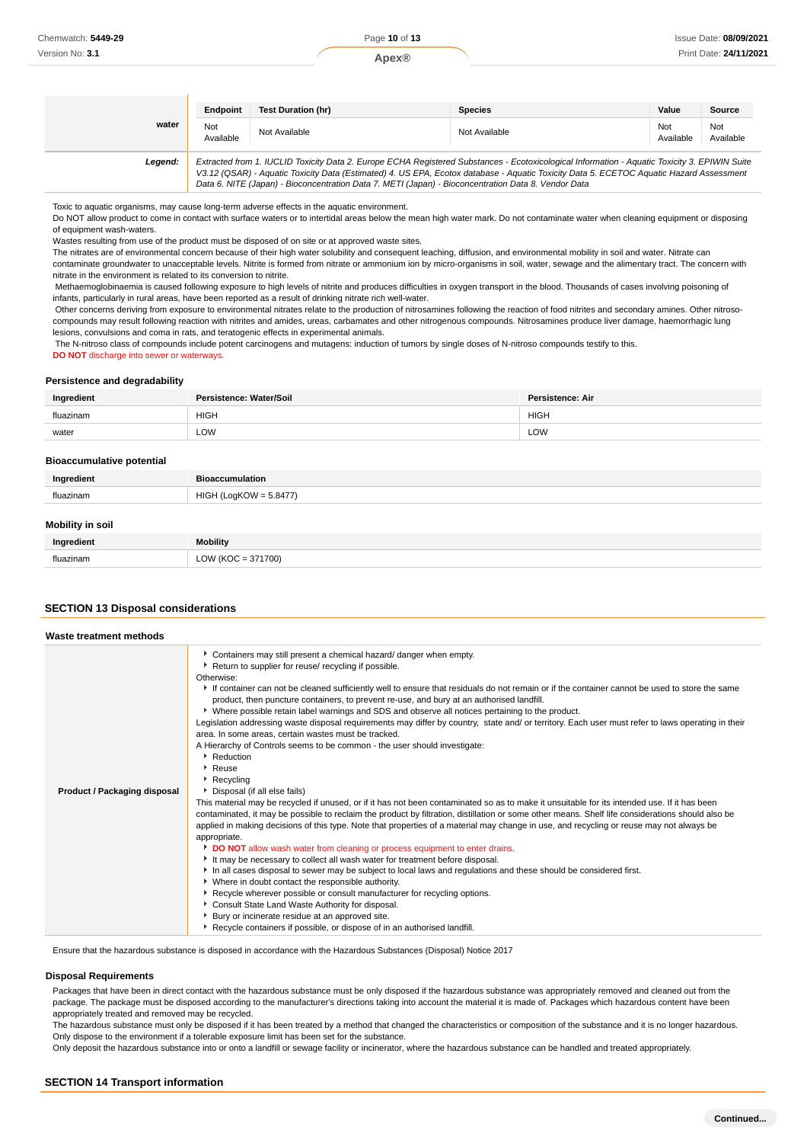|         | Endpoint         | <b>Test Duration (hr)</b>                                                                                                                                                                                                                                                                                                                                                                       | <b>Species</b> | Value            | <b>Source</b>    |
|---------|------------------|-------------------------------------------------------------------------------------------------------------------------------------------------------------------------------------------------------------------------------------------------------------------------------------------------------------------------------------------------------------------------------------------------|----------------|------------------|------------------|
| water   | Not<br>Available | Not Available                                                                                                                                                                                                                                                                                                                                                                                   | Not Available  | Not<br>Available | Not<br>Available |
| Legend: |                  | Extracted from 1. IUCLID Toxicity Data 2. Europe ECHA Registered Substances - Ecotoxicological Information - Aquatic Toxicity 3. EPIWIN Suite<br>V3.12 (QSAR) - Aquatic Toxicity Data (Estimated) 4. US EPA, Ecotox database - Aquatic Toxicity Data 5. ECETOC Aquatic Hazard Assessment<br>Data 6. NITE (Japan) - Bioconcentration Data 7. METI (Japan) - Bioconcentration Data 8. Vendor Data |                |                  |                  |

Toxic to aquatic organisms, may cause long-term adverse effects in the aquatic environment.

Do NOT allow product to come in contact with surface waters or to intertidal areas below the mean high water mark. Do not contaminate water when cleaning equipment or disposing of equipment wash-waters.

Wastes resulting from use of the product must be disposed of on site or at approved waste sites.

The nitrates are of environmental concern because of their high water solubility and consequent leaching, diffusion, and environmental mobility in soil and water. Nitrate can

contaminate groundwater to unacceptable levels. Nitrite is formed from nitrate or ammonium ion by micro-organisms in soil, water, sewage and the alimentary tract. The concern with nitrate in the environment is related to its conversion to nitrite.

 Methaemoglobinaemia is caused following exposure to high levels of nitrite and produces difficulties in oxygen transport in the blood. Thousands of cases involving poisoning of infants, particularly in rural areas, have been reported as a result of drinking nitrate rich well-water.

 Other concerns deriving from exposure to environmental nitrates relate to the production of nitrosamines following the reaction of food nitrites and secondary amines. Other nitrosocompounds may result following reaction with nitrites and amides, ureas, carbamates and other nitrogenous compounds. Nitrosamines produce liver damage, haemorrhagic lung lesions, convulsions and coma in rats, and teratogenic effects in experimental animals.

 The N-nitroso class of compounds include potent carcinogens and mutagens: induction of tumors by single doses of N-nitroso compounds testify to this. **DO NOT** discharge into sewer or waterways.

#### **Persistence and degradability**

| Ingredient | Persistence: Water/Soil | <b>Persistence: Air</b> |
|------------|-------------------------|-------------------------|
| fluazinam  | <b>HIGH</b>             | <b>HIGH</b>             |
| water      | LOW                     | LOW                     |

#### **Bioaccumulative potential**

| Ingredient | <b>Bioaccumulation</b>              |
|------------|-------------------------------------|
| fluazinam  | $' = 5.8477$<br>HIGH<br>$O(10^{10}$ |
|            |                                     |

## **Mobility in soil**

| Ingredient | <b>Mobility</b> |
|------------|-----------------|
| fluazinam  | 1700<br>OMIVO   |

#### **SECTION 13 Disposal considerations**

| Waste treatment methods      |                                                                                                                                                                                                                                                                                                                                                                                                                                                                                                                                                                                                                                                                                                                                                                                                                                                                                                                                                                                                                                                                                                                                                                                                                                                                                                                                                                                                                                                                                                                                                                                                                                                                                                                                                                                                                                                                                                                                                |
|------------------------------|------------------------------------------------------------------------------------------------------------------------------------------------------------------------------------------------------------------------------------------------------------------------------------------------------------------------------------------------------------------------------------------------------------------------------------------------------------------------------------------------------------------------------------------------------------------------------------------------------------------------------------------------------------------------------------------------------------------------------------------------------------------------------------------------------------------------------------------------------------------------------------------------------------------------------------------------------------------------------------------------------------------------------------------------------------------------------------------------------------------------------------------------------------------------------------------------------------------------------------------------------------------------------------------------------------------------------------------------------------------------------------------------------------------------------------------------------------------------------------------------------------------------------------------------------------------------------------------------------------------------------------------------------------------------------------------------------------------------------------------------------------------------------------------------------------------------------------------------------------------------------------------------------------------------------------------------|
| Product / Packaging disposal | • Containers may still present a chemical hazard/ danger when empty.<br>Return to supplier for reuse/ recycling if possible.<br>Otherwise:<br>If container can not be cleaned sufficiently well to ensure that residuals do not remain or if the container cannot be used to store the same<br>product, then puncture containers, to prevent re-use, and bury at an authorised landfill.<br>▶ Where possible retain label warnings and SDS and observe all notices pertaining to the product.<br>Legislation addressing waste disposal requirements may differ by country, state and/ or territory. Each user must refer to laws operating in their<br>area. In some areas, certain wastes must be tracked.<br>A Hierarchy of Controls seems to be common - the user should investigate:<br>Reduction<br>Reuse<br>$\cdot$ Recycling<br>Disposal (if all else fails)<br>This material may be recycled if unused, or if it has not been contaminated so as to make it unsuitable for its intended use. If it has been<br>contaminated, it may be possible to reclaim the product by filtration, distillation or some other means. Shelf life considerations should also be<br>applied in making decisions of this type. Note that properties of a material may change in use, and recycling or reuse may not always be<br>appropriate.<br>DO NOT allow wash water from cleaning or process equipment to enter drains.<br>It may be necessary to collect all wash water for treatment before disposal.<br>In all cases disposal to sewer may be subject to local laws and regulations and these should be considered first.<br>• Where in doubt contact the responsible authority.<br>Recycle wherever possible or consult manufacturer for recycling options.<br>Consult State Land Waste Authority for disposal.<br>Bury or incinerate residue at an approved site.<br>Recycle containers if possible, or dispose of in an authorised landfill. |

Ensure that the hazardous substance is disposed in accordance with the Hazardous Substances (Disposal) Notice 2017

#### **Disposal Requirements**

Packages that have been in direct contact with the hazardous substance must be only disposed if the hazardous substance was appropriately removed and cleaned out from the package. The package must be disposed according to the manufacturer's directions taking into account the material it is made of. Packages which hazardous content have been appropriately treated and removed may be recycled.

The hazardous substance must only be disposed if it has been treated by a method that changed the characteristics or composition of the substance and it is no longer hazardous. Only dispose to the environment if a tolerable exposure limit has been set for the substance.

Only deposit the hazardous substance into or onto a landfill or sewage facility or incinerator, where the hazardous substance can be handled and treated appropriately.

## **SECTION 14 Transport information**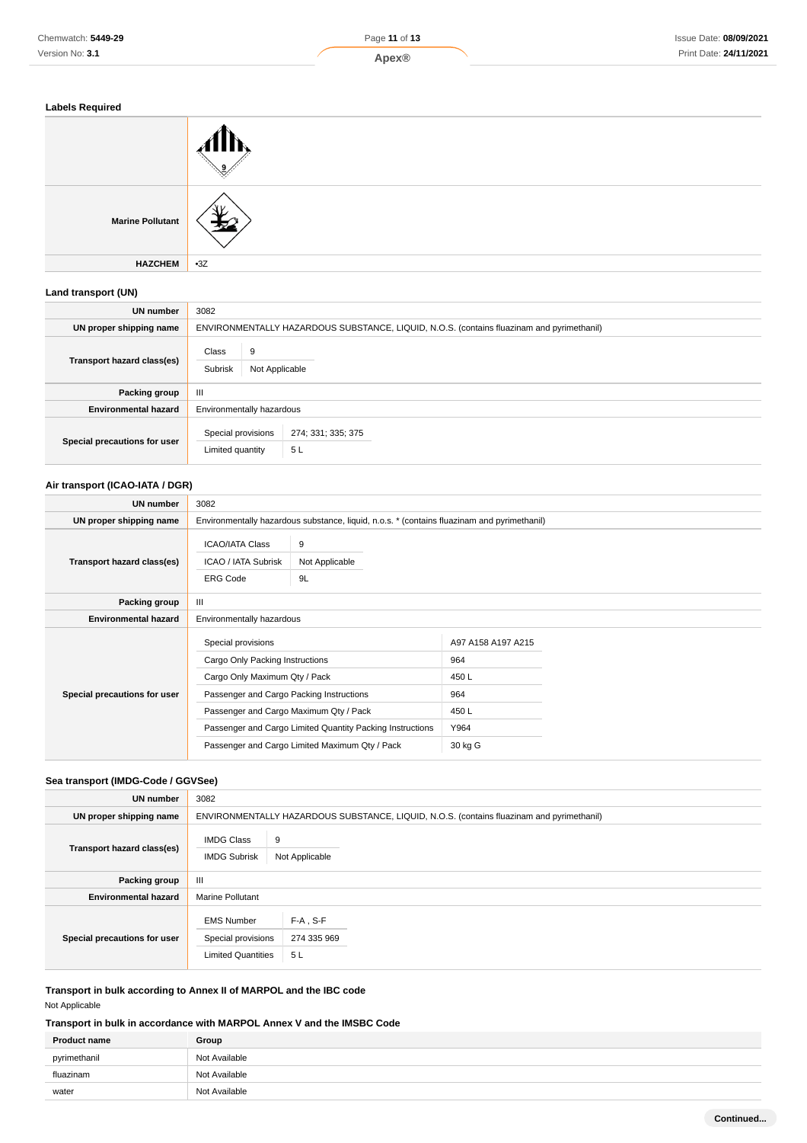

| <b>Labels Required</b>  |       |
|-------------------------|-------|
|                         | .     |
| <b>Marine Pollutant</b> |       |
| <b>HAZCHEM</b>          | $-3Z$ |

## **Land transport (UN)**

| UN number                    | 3082                                    |                                                                                           |
|------------------------------|-----------------------------------------|-------------------------------------------------------------------------------------------|
| UN proper shipping name      |                                         | ENVIRONMENTALLY HAZARDOUS SUBSTANCE, LIQUID, N.O.S. (contains fluazinam and pyrimethanil) |
| Transport hazard class(es)   | 9<br>Class<br>Subrisk<br>Not Applicable |                                                                                           |
| Packing group                | Ш                                       |                                                                                           |
| <b>Environmental hazard</b>  | Environmentally hazardous               |                                                                                           |
| Special precautions for user | Special provisions<br>Limited quantity  | 274; 331; 335; 375<br>5L                                                                  |

# **Air transport (ICAO-IATA / DGR)**

| UN number                    | 3082                                                                                                                                                                         |                                                                                                             |                                                                     |  |
|------------------------------|------------------------------------------------------------------------------------------------------------------------------------------------------------------------------|-------------------------------------------------------------------------------------------------------------|---------------------------------------------------------------------|--|
| UN proper shipping name      |                                                                                                                                                                              | Environmentally hazardous substance, liquid, n.o.s. * (contains fluazinam and pyrimethanil)                 |                                                                     |  |
| Transport hazard class(es)   | <b>ICAO/IATA Class</b><br>ICAO / IATA Subrisk<br><b>ERG Code</b>                                                                                                             | 9<br>Not Applicable<br>9L                                                                                   |                                                                     |  |
| Packing group                | $\mathbf{III}$                                                                                                                                                               |                                                                                                             |                                                                     |  |
| <b>Environmental hazard</b>  | Environmentally hazardous                                                                                                                                                    |                                                                                                             |                                                                     |  |
| Special precautions for user | Special provisions<br>Cargo Only Packing Instructions<br>Cargo Only Maximum Qty / Pack<br>Passenger and Cargo Packing Instructions<br>Passenger and Cargo Maximum Qty / Pack | Passenger and Cargo Limited Quantity Packing Instructions<br>Passenger and Cargo Limited Maximum Qty / Pack | A97 A158 A197 A215<br>964<br>450L<br>964<br>450L<br>Y964<br>30 kg G |  |

# **Sea transport (IMDG-Code / GGVSee)**

| UN number                    | 3082                                                                 |                                                                                           |
|------------------------------|----------------------------------------------------------------------|-------------------------------------------------------------------------------------------|
| UN proper shipping name      |                                                                      | ENVIRONMENTALLY HAZARDOUS SUBSTANCE, LIQUID, N.O.S. (contains fluazinam and pyrimethanil) |
| Transport hazard class(es)   | <b>IMDG Class</b><br><b>IMDG Subrisk</b>                             | 9<br>Not Applicable                                                                       |
| Packing group                | Ш                                                                    |                                                                                           |
| <b>Environmental hazard</b>  | <b>Marine Pollutant</b>                                              |                                                                                           |
| Special precautions for user | <b>EMS Number</b><br>Special provisions<br><b>Limited Quantities</b> | $F-A$ , S-F<br>274 335 969<br>5L                                                          |

**Transport in bulk according to Annex II of MARPOL and the IBC code** Not Applicable

# **Transport in bulk in accordance with MARPOL Annex V and the IMSBC Code**

| <b>Product name</b> | Group         |
|---------------------|---------------|
| pyrimethanil        | Not Available |
| fluazinam           | Not Available |
| water               | Not Available |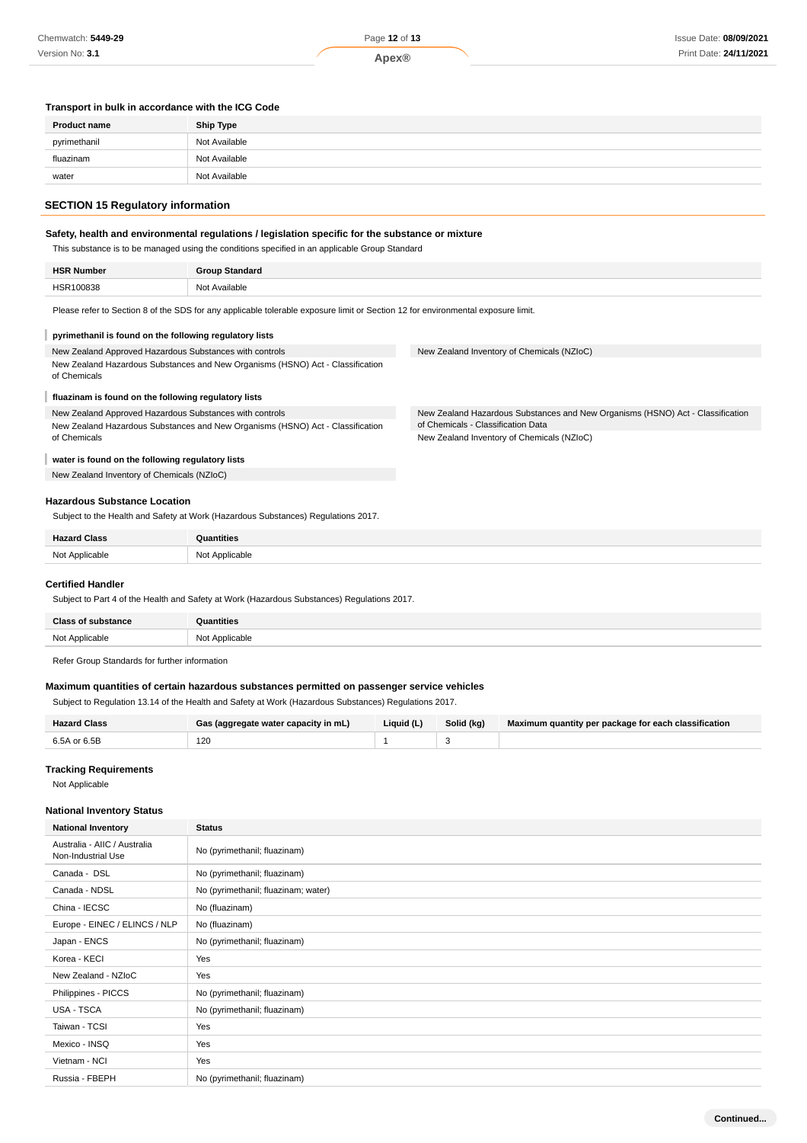## **Transport in bulk in accordance with the ICG Code**

| <b>Product name</b> | Ship Type     |
|---------------------|---------------|
| pyrimethanil        | Not Available |
| fluazinam           | Not Available |
| water               | Not Available |

# **SECTION 15 Regulatory information**

## **Safety, health and environmental regulations / legislation specific for the substance or mixture**

This substance is to be managed using the conditions specified in an applicable Group Standard

| <b>HSR Number</b> | <b>Group Standard</b> |
|-------------------|-----------------------|
| <b>HCD100838</b>  | Not Available         |
|                   |                       |

Please refer to Section 8 of the SDS for any applicable tolerable exposure limit or Section 12 for environmental exposure limit.

| pyrimethanil is found on the following regulatory lists                                        |                                                                                |
|------------------------------------------------------------------------------------------------|--------------------------------------------------------------------------------|
| New Zealand Approved Hazardous Substances with controls                                        | New Zealand Inventory of Chemicals (NZIoC)                                     |
| New Zealand Hazardous Substances and New Organisms (HSNO) Act - Classification<br>of Chemicals |                                                                                |
| fluazinam is found on the following regulatory lists                                           |                                                                                |
| New Zealand Approved Hazardous Substances with controls                                        | New Zealand Hazardous Substances and New Organisms (HSNO) Act - Classification |
| New Zealand Hazardous Substances and New Organisms (HSNO) Act - Classification                 | of Chemicals - Classification Data                                             |
| of Chemicals                                                                                   | New Zealand Inventory of Chemicals (NZIoC)                                     |
| water is found on the following regulatory lists                                               |                                                                                |
| New Zealand Inventory of Chemicals (NZIoC)                                                     |                                                                                |
|                                                                                                |                                                                                |
| <b>Hazardous Substance Location</b>                                                            |                                                                                |
| Subject to the Health and Safety at Work (Hazardous Substances) Regulations 2017.              |                                                                                |
|                                                                                                |                                                                                |

| <b>Hazard Class</b> | <b>Quantities</b> |
|---------------------|-------------------|
| Not Applicable<br>. | Not Applicable    |

### **Certified Handler**

Subject to Part 4 of the Health and Safety at Work (Hazardous Substances) Regulations 2017.

| <b>Class of substance</b> | նuantities     |
|---------------------------|----------------|
| Not Annlicable<br>.       | Not Applicable |

Refer Group Standards for further information

# **Maximum quantities of certain hazardous substances permitted on passenger service vehicles**

Subject to Regulation 13.14 of the Health and Safety at Work (Hazardous Substances) Regulations 2017.

| (aggregate water capacity in mL) | Liauid (L' | Solid (kg) | Maximum quantity per package for each classification |
|----------------------------------|------------|------------|------------------------------------------------------|
| 120                              |            |            |                                                      |

## **Tracking Requirements**

Not Applicable

#### **National Inventory Status**

| <b>National Inventory</b>                          | <b>Status</b>                       |
|----------------------------------------------------|-------------------------------------|
| Australia - AIIC / Australia<br>Non-Industrial Use | No (pyrimethanil; fluazinam)        |
| Canada - DSL                                       | No (pyrimethanil; fluazinam)        |
| Canada - NDSL                                      | No (pyrimethanil; fluazinam; water) |
| China - IECSC                                      | No (fluazinam)                      |
| Europe - EINEC / ELINCS / NLP                      | No (fluazinam)                      |
| Japan - ENCS                                       | No (pyrimethanil; fluazinam)        |
| Korea - KECI                                       | Yes                                 |
| New Zealand - NZIoC                                | Yes                                 |
| Philippines - PICCS                                | No (pyrimethanil; fluazinam)        |
| <b>USA - TSCA</b>                                  | No (pyrimethanil; fluazinam)        |
| Taiwan - TCSI                                      | Yes                                 |
| Mexico - INSQ                                      | Yes                                 |
| Vietnam - NCI                                      | Yes                                 |
| Russia - FBEPH                                     | No (pyrimethanil; fluazinam)        |